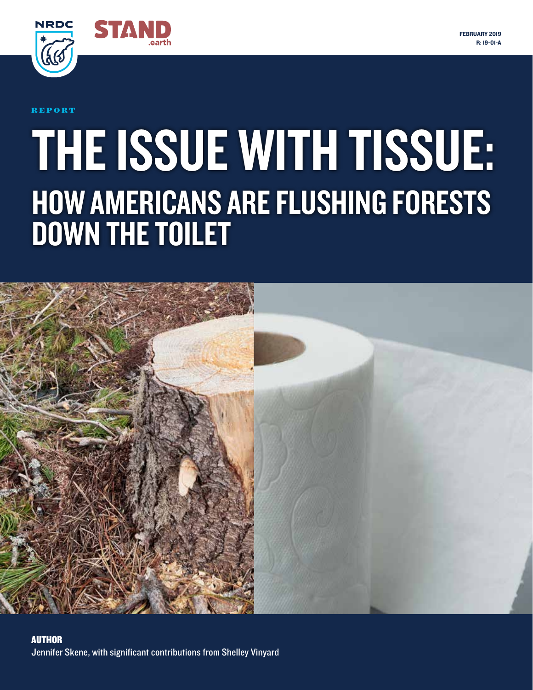



R E P O R T

# THE ISSUE WITH TISSUE: HOW AMERICANS ARE FLUSHING FORESTS DOWN THE TOILET

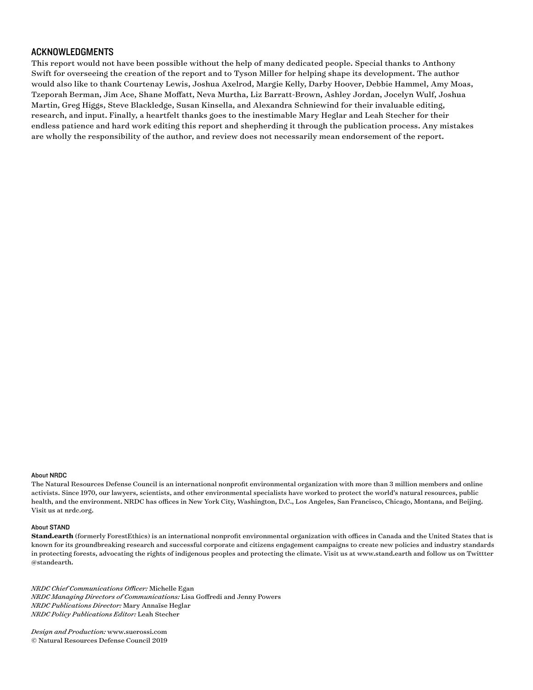#### ACKNOWLEDGMENTS

This report would not have been possible without the help of many dedicated people. Special thanks to Anthony Swift for overseeing the creation of the report and to Tyson Miller for helping shape its development. The author would also like to thank Courtenay Lewis, Joshua Axelrod, Margie Kelly, Darby Hoover, Debbie Hammel, Amy Moas, Tzeporah Berman, Jim Ace, Shane Moffatt, Neva Murtha, Liz Barratt-Brown, Ashley Jordan, Jocelyn Wulf, Joshua Martin, Greg Higgs, Steve Blackledge, Susan Kinsella, and Alexandra Schniewind for their invaluable editing, research, and input. Finally, a heartfelt thanks goes to the inestimable Mary Heglar and Leah Stecher for their endless patience and hard work editing this report and shepherding it through the publication process. Any mistakes are wholly the responsibility of the author, and review does not necessarily mean endorsement of the report.

#### About NRDC

The Natural Resources Defense Council is an international nonprofit environmental organization with more than 3 million members and online activists. Since 1970, our lawyers, scientists, and other environmental specialists have worked to protect the world's natural resources, public health, and the environment. NRDC has offices in New York City, Washington, D.C., Los Angeles, San Francisco, Chicago, Montana, and Beijing. Visit us at nrdc.org.

#### About STAND

**Stand.earth** (formerly ForestEthics) is an international nonprofit environmental organization with offices in Canada and the United States that is known for its groundbreaking research and successful corporate and citizens engagement campaigns to create new policies and industry standards in protecting forests, advocating the rights of indigenous peoples and protecting the climate. Visit us at www.stand.earth and follow us on Twittter @standearth.

*NRDC Chief Communications Officer:* Michelle Egan *NRDC Managing Directors of Communications:* Lisa Goffredi and Jenny Powers *NRDC Publications Director:* Mary Annaïse Heglar *NRDC Policy Publications Editor:* Leah Stecher

*Design and Production:* www.suerossi.com © Natural Resources Defense Council 2019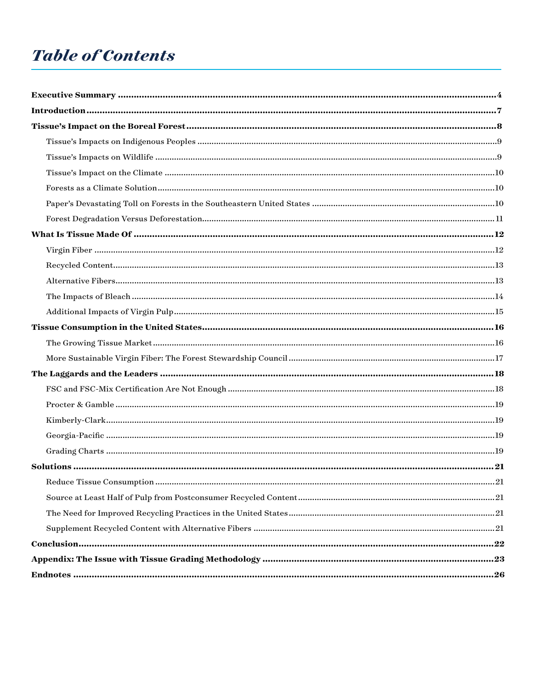### **Table of Contents**

| Appendix: The Issue with Tissue Grading Methodology ……………………………………………………………………………23 |  |
|-------------------------------------------------------------------------------------|--|
|                                                                                     |  |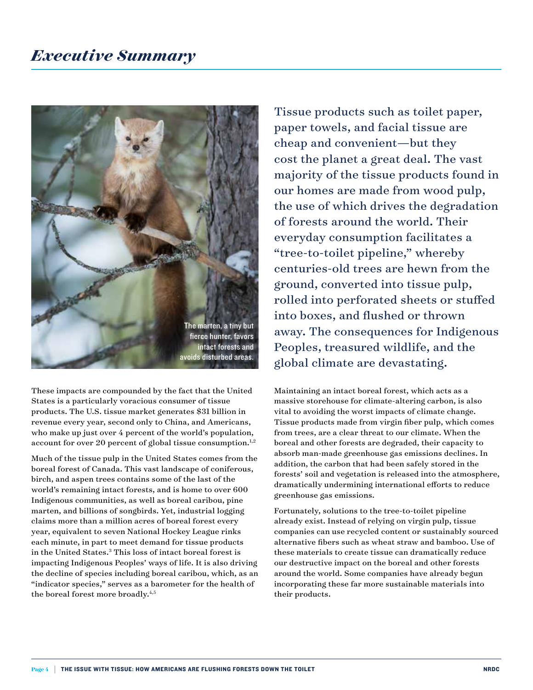

These impacts are compounded by the fact that the United States is a particularly voracious consumer of tissue products. The U.S. tissue market generates \$31 billion in revenue every year, second only to China, and Americans, who make up just over 4 percent of the world's population, account for over 20 percent of global tissue consumption. $1,2$ 

Much of the tissue pulp in the United States comes from the boreal forest of Canada. This vast landscape of coniferous, birch, and aspen trees contains some of the last of the world's remaining intact forests, and is home to over 600 Indigenous communities, as well as boreal caribou, pine marten, and billions of songbirds. Yet, industrial logging claims more than a million acres of boreal forest every year, equivalent to seven National Hockey League rinks each minute, in part to meet demand for tissue products in the United States.3 This loss of intact boreal forest is impacting Indigenous Peoples' ways of life. It is also driving the decline of species including boreal caribou, which, as an "indicator species," serves as a barometer for the health of the boreal forest more broadly.<sup>4,5</sup>

Tissue products such as toilet paper, paper towels, and facial tissue are cheap and convenient—but they cost the planet a great deal. The vast majority of the tissue products found in our homes are made from wood pulp, the use of which drives the degradation of forests around the world. Their everyday consumption facilitates a "tree-to-toilet pipeline," whereby centuries-old trees are hewn from the ground, converted into tissue pulp, rolled into perforated sheets or stuffed into boxes, and flushed or thrown away. The consequences for Indigenous Peoples, treasured wildlife, and the global climate are devastating.

Maintaining an intact boreal forest, which acts as a massive storehouse for climate-altering carbon, is also vital to avoiding the worst impacts of climate change. Tissue products made from virgin fiber pulp, which comes from trees, are a clear threat to our climate. When the boreal and other forests are degraded, their capacity to absorb man-made greenhouse gas emissions declines. In addition, the carbon that had been safely stored in the forests' soil and vegetation is released into the atmosphere, dramatically undermining international efforts to reduce greenhouse gas emissions.

Fortunately, solutions to the tree-to-toilet pipeline already exist. Instead of relying on virgin pulp, tissue companies can use recycled content or sustainably sourced alternative fibers such as wheat straw and bamboo. Use of these materials to create tissue can dramatically reduce our destructive impact on the boreal and other forests around the world. Some companies have already begun incorporating these far more sustainable materials into their products.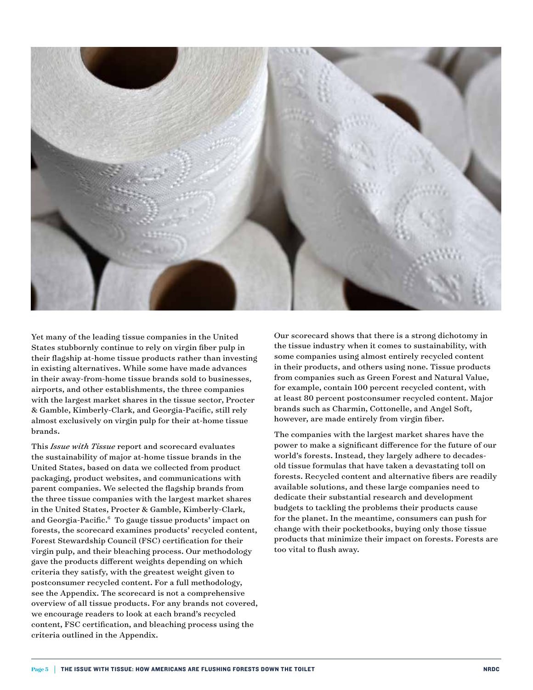

Yet many of the leading tissue companies in the United States stubbornly continue to rely on virgin fiber pulp in their flagship at-home tissue products rather than investing in existing alternatives. While some have made advances in their away-from-home tissue brands sold to businesses, airports, and other establishments, the three companies with the largest market shares in the tissue sector, Procter & Gamble, Kimberly-Clark, and Georgia-Pacific, still rely almost exclusively on virgin pulp for their at-home tissue brands.

This *Issue with Tissue* report and scorecard evaluates the sustainability of major at-home tissue brands in the United States, based on data we collected from product packaging, product websites, and communications with parent companies. We selected the flagship brands from the three tissue companies with the largest market shares in the United States, Procter & Gamble, Kimberly-Clark, and Georgia-Pacific.6 To gauge tissue products' impact on forests, the scorecard examines products' recycled content, Forest Stewardship Council (FSC) certification for their virgin pulp, and their bleaching process. Our methodology gave the products different weights depending on which criteria they satisfy, with the greatest weight given to postconsumer recycled content. For a full methodology, see the Appendix. The scorecard is not a comprehensive overview of all tissue products. For any brands not covered, we encourage readers to look at each brand's recycled content, FSC certification, and bleaching process using the criteria outlined in the Appendix.

Our scorecard shows that there is a strong dichotomy in the tissue industry when it comes to sustainability, with some companies using almost entirely recycled content in their products, and others using none. Tissue products from companies such as Green Forest and Natural Value, for example, contain 100 percent recycled content, with at least 80 percent postconsumer recycled content. Major brands such as Charmin, Cottonelle, and Angel Soft, however, are made entirely from virgin fiber.

The companies with the largest market shares have the power to make a significant difference for the future of our world's forests. Instead, they largely adhere to decadesold tissue formulas that have taken a devastating toll on forests. Recycled content and alternative fibers are readily available solutions, and these large companies need to dedicate their substantial research and development budgets to tackling the problems their products cause for the planet. In the meantime, consumers can push for change with their pocketbooks, buying only those tissue products that minimize their impact on forests. Forests are too vital to flush away.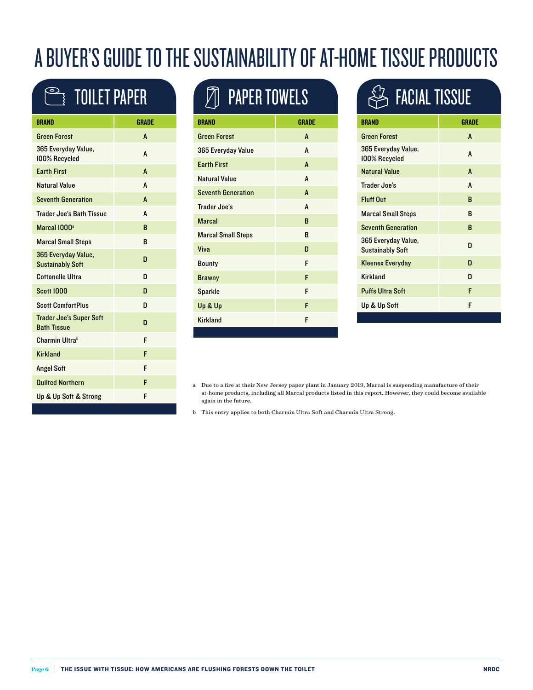## A BUYER'S GUIDE TO THE SUSTAINABILITY OF AT-HOME TISSUE PRODUCTS

## **TOILET PAPER**

| <b>BRAND</b>                                         | <b>GRADE</b> |
|------------------------------------------------------|--------------|
| <b>Green Forest</b>                                  | A            |
| 365 Everyday Value,<br>100% Recycled                 | A            |
| <b>Earth First</b>                                   | A            |
| <b>Natural Value</b>                                 | A            |
| <b>Seventh Generation</b>                            | A            |
| <b>Trader Joe's Bath Tissue</b>                      | A            |
| Marcal 1000 <sup>a</sup>                             | B            |
| <b>Marcal Small Steps</b>                            | в            |
| 365 Everyday Value,<br><b>Sustainably Soft</b>       | D            |
| <b>Cottonelle Ultra</b>                              | D            |
| <b>Scott 1000</b>                                    | n            |
| <b>Scott ComfortPlus</b>                             | n            |
| <b>Trader Joe's Super Soft</b><br><b>Bath Tissue</b> | D            |
| Charmin Ultrab                                       | F            |
| <b>Kirkland</b>                                      | F            |
| <b>Angel Soft</b>                                    | F            |
| <b>Quilted Northern</b>                              | F            |
| Up & Up Soft & Strong                                | F            |

## $\widehat{\mathbb{Z}}$  paper towels

| <b>BRAND</b>              | <b>GRADE</b> |
|---------------------------|--------------|
| <b>Green Forest</b>       | A            |
| 365 Everyday Value        | A            |
| <b>Earth First</b>        | A            |
| Natural Value             | A            |
| <b>Seventh Generation</b> | A            |
| Trader Joe's              | A            |
| <b>Marcal</b>             | B            |
| <b>Marcal Small Steps</b> | B            |
| Viva                      | D            |
| <b>Bounty</b>             | F            |
| <b>Brawny</b>             | F            |
| <b>Sparkle</b>            | F            |
| Up & Up                   | F            |
| <b>Kirkland</b>           | F            |

## **PA FACIAL TISSUE**

| <b>BRAND</b>                                   | <b>GRADE</b> |
|------------------------------------------------|--------------|
| <b>Green Forest</b>                            | A            |
| 365 Everyday Value,<br>100% Recycled           | A            |
| <b>Natural Value</b>                           | A            |
| Trader Joe's                                   | A            |
| <b>Fluff Out</b>                               | B            |
| <b>Marcal Small Steps</b>                      | B            |
| <b>Seventh Generation</b>                      | B            |
| 365 Everyday Value,<br><b>Sustainably Soft</b> | D            |
| <b>Kleenex Everyday</b>                        | D            |
| <b>Kirkland</b>                                | D            |
| <b>Puffs Ultra Soft</b>                        | F            |
| Up & Up Soft                                   | F            |
|                                                |              |

- a Due to a fire at their New Jersey paper plant in January 2019, Marcal is suspending manufacture of their at-home products, including all Marcal products listed in this report. However, they could become available again in the future.
- b This entry applies to both Charmin Ultra Soft and Charmin Ultra Strong.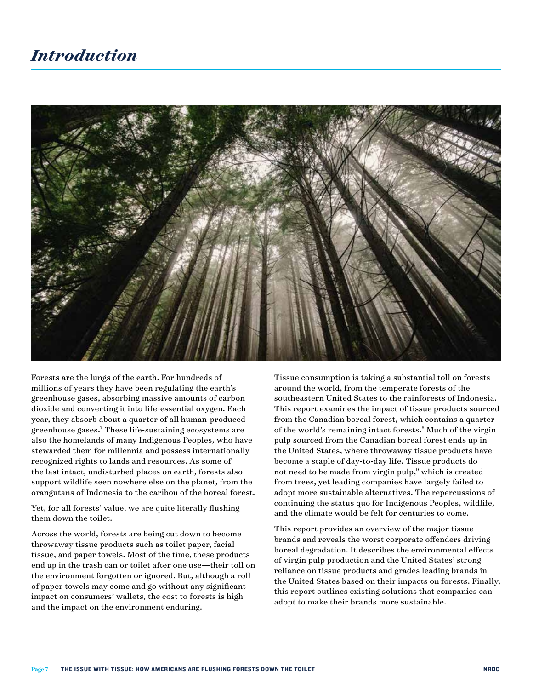

Forests are the lungs of the earth. For hundreds of millions of years they have been regulating the earth's greenhouse gases, absorbing massive amounts of carbon dioxide and converting it into life-essential oxygen. Each year, they absorb about a quarter of all human-produced greenhouse gases.7 These life-sustaining ecosystems are also the homelands of many Indigenous Peoples, who have stewarded them for millennia and possess internationally recognized rights to lands and resources. As some of the last intact, undisturbed places on earth, forests also support wildlife seen nowhere else on the planet, from the orangutans of Indonesia to the caribou of the boreal forest.

Yet, for all forests' value, we are quite literally flushing them down the toilet.

Across the world, forests are being cut down to become throwaway tissue products such as toilet paper, facial tissue, and paper towels. Most of the time, these products end up in the trash can or toilet after one use—their toll on the environment forgotten or ignored. But, although a roll of paper towels may come and go without any significant impact on consumers' wallets, the cost to forests is high and the impact on the environment enduring.

Tissue consumption is taking a substantial toll on forests around the world, from the temperate forests of the southeastern United States to the rainforests of Indonesia. This report examines the impact of tissue products sourced from the Canadian boreal forest, which contains a quarter of the world's remaining intact forests.<sup>8</sup> Much of the virgin pulp sourced from the Canadian boreal forest ends up in the United States, where throwaway tissue products have become a staple of day-to-day life. Tissue products do not need to be made from virgin pulp,<sup>9</sup> which is created from trees, yet leading companies have largely failed to adopt more sustainable alternatives. The repercussions of continuing the status quo for Indigenous Peoples, wildlife, and the climate would be felt for centuries to come.

This report provides an overview of the major tissue brands and reveals the worst corporate offenders driving boreal degradation. It describes the environmental effects of virgin pulp production and the United States' strong reliance on tissue products and grades leading brands in the United States based on their impacts on forests. Finally, this report outlines existing solutions that companies can adopt to make their brands more sustainable.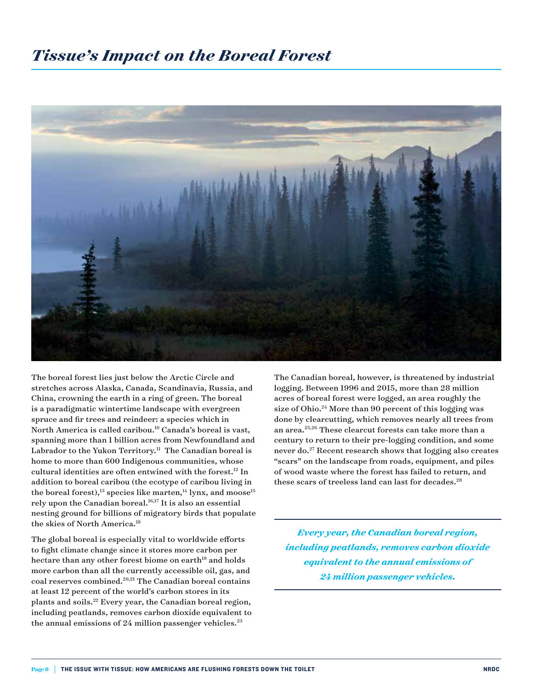#### *Tissue's Impact on the Boreal Forest*



The boreal forest lies just below the Arctic Circle and stretches across Alaska, Canada, Scandinavia, Russia, and China, crowning the earth in a ring of green. The boreal is a paradigmatic wintertime landscape with evergreen spruce and fir trees and reindeer: a species which in North America is called caribou.10 Canada's boreal is vast, spanning more than 1 billion acres from Newfoundland and Labrador to the Yukon Territory.<sup>11</sup> The Canadian boreal is home to more than 600 Indigenous communities, whose cultural identities are often entwined with the forest.12 In addition to boreal caribou (the ecotype of caribou living in the boreal forest),<sup>13</sup> species like marten,<sup>14</sup> lynx, and moose<sup>15</sup> rely upon the Canadian boreal. $16,17$  It is also an essential nesting ground for billions of migratory birds that populate the skies of North America.<sup>18</sup>

The global boreal is especially vital to worldwide efforts to fight climate change since it stores more carbon per hectare than any other forest biome on earth<sup>19</sup> and holds more carbon than all the currently accessible oil, gas, and coal reserves combined.<sup>20,21</sup> The Canadian boreal contains at least 12 percent of the world's carbon stores in its plants and soils.22 Every year, the Canadian boreal region, including peatlands, removes carbon dioxide equivalent to the annual emissions of  $24$  million passenger vehicles.<sup>23</sup>

The Canadian boreal, however, is threatened by industrial logging. Between 1996 and 2015, more than 28 million acres of boreal forest were logged, an area roughly the size of Ohio.<sup>24</sup> More than 90 percent of this logging was done by clearcutting, which removes nearly all trees from an area.25,26 These clearcut forests can take more than a century to return to their pre-logging condition, and some never do.27 Recent research shows that logging also creates "scars" on the landscape from roads, equipment, and piles of wood waste where the forest has failed to return, and these scars of treeless land can last for decades. $28$ 

*Every year, the Canadian boreal region, including peatlands, removes carbon dioxide equivalent to the annual emissions of 24 million passenger vehicles.*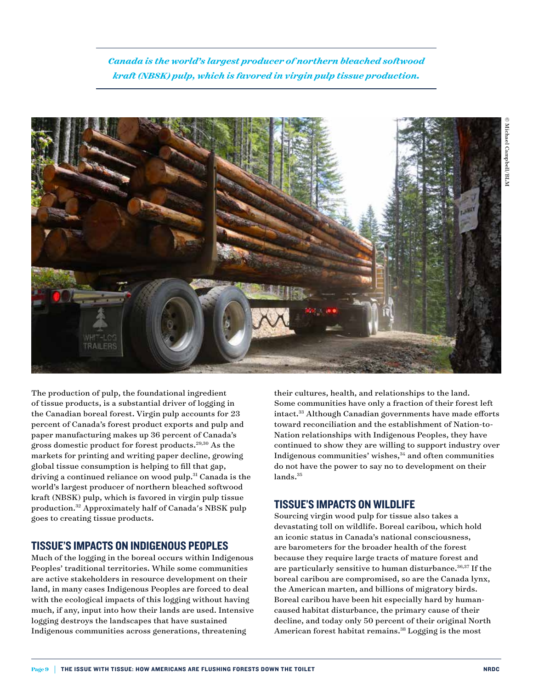*Canada is the world's largest producer of northern bleached softwood kraft (NBSK) pulp, which is favored in virgin pulp tissue production.*



The production of pulp, the foundational ingredient of tissue products, is a substantial driver of logging in the Canadian boreal forest. Virgin pulp accounts for 23 percent of Canada's forest product exports and pulp and paper manufacturing makes up 36 percent of Canada's gross domestic product for forest products.29,30 As the markets for printing and writing paper decline, growing global tissue consumption is helping to fill that gap, driving a continued reliance on wood pulp.<sup>31</sup> Canada is the world's largest producer of northern bleached softwood kraft (NBSK) pulp, which is favored in virgin pulp tissue production.32 Approximately half of Canada's NBSK pulp goes to creating tissue products.

#### TISSUE'S IMPACTS ON INDIGENOUS PEOPLES

Much of the logging in the boreal occurs within Indigenous Peoples' traditional territories. While some communities are active stakeholders in resource development on their land, in many cases Indigenous Peoples are forced to deal with the ecological impacts of this logging without having much, if any, input into how their lands are used. Intensive logging destroys the landscapes that have sustained Indigenous communities across generations, threatening

their cultures, health, and relationships to the land. Some communities have only a fraction of their forest left intact.33 Although Canadian governments have made efforts toward reconciliation and the establishment of Nation-to-Nation relationships with Indigenous Peoples, they have continued to show they are willing to support industry over Indigenous communities' wishes,<sup>34</sup> and often communities do not have the power to say no to development on their lands.<sup>35</sup>

#### TISSUE'S IMPACTS ON WILDLIFE

Sourcing virgin wood pulp for tissue also takes a devastating toll on wildlife. Boreal caribou, which hold an iconic status in Canada's national consciousness, are barometers for the broader health of the forest because they require large tracts of mature forest and are particularly sensitive to human disturbance.<sup>36,37</sup> If the boreal caribou are compromised, so are the Canada lynx, the American marten, and billions of migratory birds. Boreal caribou have been hit especially hard by humancaused habitat disturbance, the primary cause of their decline, and today only 50 percent of their original North American forest habitat remains.<sup>38</sup> Logging is the most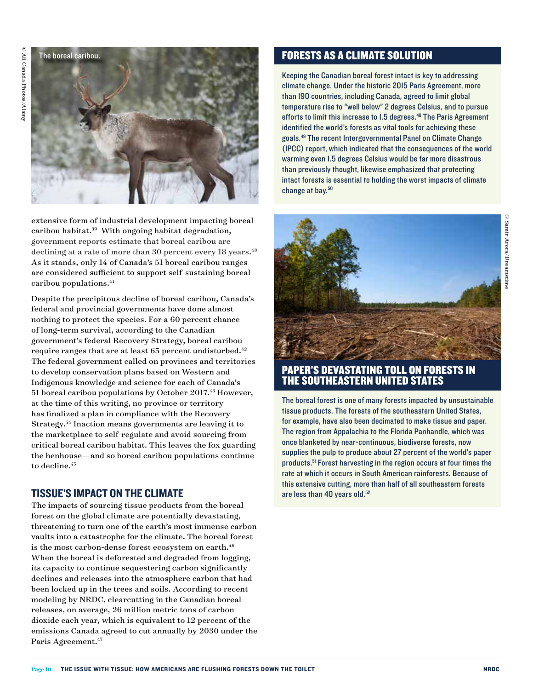

extensive form of industrial development impacting boreal caribou habitat.39 With ongoing habitat degradation, government reports estimate that boreal caribou are declining at a rate of more than 30 percent every 18 years.<sup>40</sup> As it stands, only 14 of Canada's 51 boreal caribou ranges are considered sufficient to support self-sustaining boreal caribou populations.<sup>41</sup>

Despite the precipitous decline of boreal caribou, Canada's federal and provincial governments have done almost nothing to protect the species. For a 60 percent chance of long-term survival, according to the Canadian government's federal Recovery Strategy, boreal caribou require ranges that are at least  $65$  percent undisturbed.<sup>42</sup> The federal government called on provinces and territories to develop conservation plans based on Western and Indigenous knowledge and science for each of Canada's 51 boreal caribou populations by October 2017.<sup>43</sup> However, at the time of this writing, no province or territory has finalized a plan in compliance with the Recovery Strategy.44 Inaction means governments are leaving it to the marketplace to self-regulate and avoid sourcing from critical boreal caribou habitat. This leaves the fox guarding the henhouse—and so boreal caribou populations continue to decline.<sup>45</sup>

#### TISSUE'S IMPACT ON THE CLIMATE

The impacts of sourcing tissue products from the boreal forest on the global climate are potentially devastating, threatening to turn one of the earth's most immense carbon vaults into a catastrophe for the climate. The boreal forest is the most carbon-dense forest ecosystem on earth.<sup>46</sup> When the boreal is deforested and degraded from logging, its capacity to continue sequestering carbon significantly declines and releases into the atmosphere carbon that had been locked up in the trees and soils. According to recent modeling by NRDC, clearcutting in the Canadian boreal releases, on average, 26 million metric tons of carbon dioxide each year, which is equivalent to 12 percent of the emissions Canada agreed to cut annually by 2030 under the Paris Agreement.<sup>47</sup>

#### FORESTS AS A CLIMATE SOLUTION

Keeping the Canadian boreal forest intact is key to addressing climate change. Under the historic 2015 Paris Agreement, more than 190 countries, including Canada, agreed to limit global temperature rise to "well below" 2 degrees Celsius, and to pursue efforts to limit this increase to 1.5 degrees.<sup>48</sup> The Paris Agreement identified the world's forests as vital tools for achieving these goals.49 The recent Intergovernmental Panel on Climate Change (IPCC) report, which indicated that the consequences of the world warming even 1.5 degrees Celsius would be far more disastrous than previously thought, likewise emphasized that protecting intact forests is essential to holding the worst impacts of climate change at bay.<sup>50</sup>



#### PAPER'S DEVASTATING TOLL ON FORESTS IN THE SOUTHEASTERN UNITED STATES

The boreal forest is one of many forests impacted by unsustainable tissue products. The forests of the southeastern United States, for example, have also been decimated to make tissue and paper. The region from Appalachia to the Florida Panhandle, which was once blanketed by near-continuous, biodiverse forests, now supplies the pulp to produce about 27 percent of the world's paper products.<sup>51</sup> Forest harvesting in the region occurs at four times the rate at which it occurs in South American rainforests. Because of this extensive cutting, more than half of all southeastern forests are less than 40 years old.<sup>52</sup>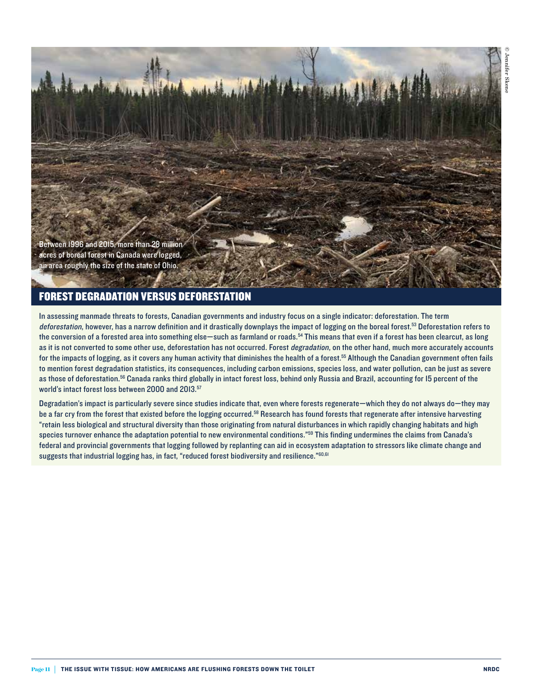

Between 1996 and 2015, more than 28 million acres of boreal forest in Canada were logged, an area roughly the size of the state of Ohio.

#### FOREST DEGRADATION VERSUS DEFORESTATION

In assessing manmade threats to forests, Canadian governments and industry focus on a single indicator: deforestation. The term deforestation, however, has a narrow definition and it drastically downplays the impact of logging on the boreal forest.<sup>53</sup> Deforestation refers to the conversion of a forested area into something else—such as farmland or roads.<sup>54</sup> This means that even if a forest has been clearcut, as long as it is not converted to some other use, deforestation has not occurred. Forest *degradation*, on the other hand, much more accurately accounts for the impacts of logging, as it covers any human activity that diminishes the health of a forest.<sup>55</sup> Although the Canadian government often fails to mention forest degradation statistics, its consequences, including carbon emissions, species loss, and water pollution, can be just as severe as those of deforestation.<sup>56</sup> Canada ranks third globally in intact forest loss, behind only Russia and Brazil, accounting for 15 percent of the world's intact forest loss between 2000 and 2013.<sup>57</sup>

Degradation's impact is particularly severe since studies indicate that, even where forests regenerate—which they do not always do—they may be a far cry from the forest that existed before the logging occurred.<sup>58</sup> Research has found forests that regenerate after intensive harvesting "retain less biological and structural diversity than those originating from natural disturbances in which rapidly changing habitats and high species turnover enhance the adaptation potential to new environmental conditions."<sup>59</sup> This finding undermines the claims from Canada's federal and provincial governments that logging followed by replanting can aid in ecosystem adaptation to stressors like climate change and suggests that industrial logging has, in fact, "reduced forest biodiversity and resilience."<sup>60,61</sup>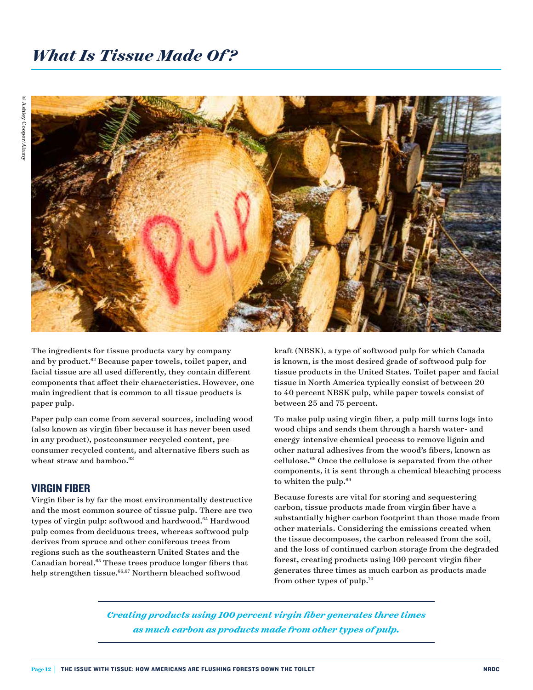

The ingredients for tissue products vary by company and by product.62 Because paper towels, toilet paper, and facial tissue are all used differently, they contain different components that affect their characteristics. However, one main ingredient that is common to all tissue products is paper pulp.

Paper pulp can come from several sources, including wood (also known as virgin fiber because it has never been used in any product), postconsumer recycled content, preconsumer recycled content, and alternative fibers such as wheat straw and bamboo.<sup>63</sup>

#### VIRGIN FIBER

Virgin fiber is by far the most environmentally destructive and the most common source of tissue pulp. There are two types of virgin pulp: softwood and hardwood.<sup>64</sup> Hardwood pulp comes from deciduous trees, whereas softwood pulp derives from spruce and other coniferous trees from regions such as the southeastern United States and the Canadian boreal.65 These trees produce longer fibers that help strengthen tissue.<sup>66,67</sup> Northern bleached softwood

kraft (NBSK), a type of softwood pulp for which Canada is known, is the most desired grade of softwood pulp for tissue products in the United States. Toilet paper and facial tissue in North America typically consist of between 20 to 40 percent NBSK pulp, while paper towels consist of between 25 and 75 percent.

To make pulp using virgin fiber, a pulp mill turns logs into wood chips and sends them through a harsh water- and energy-intensive chemical process to remove lignin and other natural adhesives from the wood's fibers, known as cellulose.68 Once the cellulose is separated from the other components, it is sent through a chemical bleaching process to whiten the pulp.<sup>69</sup>

Because forests are vital for storing and sequestering carbon, tissue products made from virgin fiber have a substantially higher carbon footprint than those made from other materials. Considering the emissions created when the tissue decomposes, the carbon released from the soil, and the loss of continued carbon storage from the degraded forest, creating products using 100 percent virgin fiber generates three times as much carbon as products made from other types of pulp.70

*Creating products using 100 percent virgin fiber generates three times as much carbon as products made from other types of pulp.*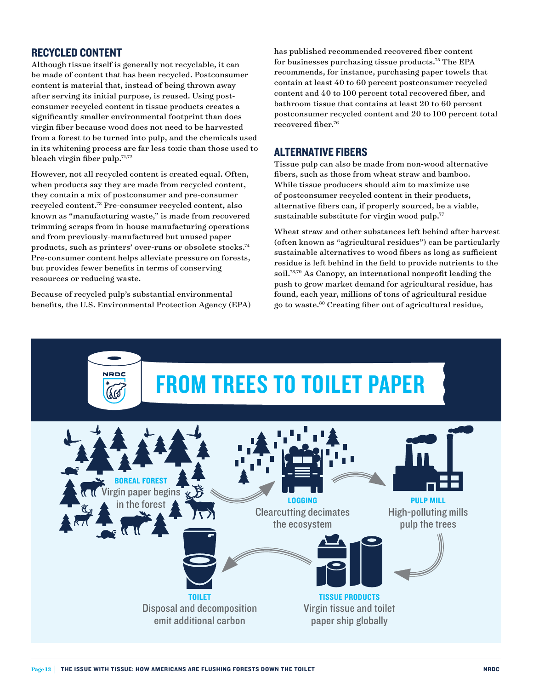#### RECYCLED CONTENT

Although tissue itself is generally not recyclable, it can be made of content that has been recycled. Postconsumer content is material that, instead of being thrown away after serving its initial purpose, is reused. Using postconsumer recycled content in tissue products creates a significantly smaller environmental footprint than does virgin fiber because wood does not need to be harvested from a forest to be turned into pulp, and the chemicals used in its whitening process are far less toxic than those used to bleach virgin fiber pulp.71,72

However, not all recycled content is created equal. Often, when products say they are made from recycled content, they contain a mix of postconsumer and pre-consumer recycled content.73 Pre-consumer recycled content, also known as "manufacturing waste," is made from recovered trimming scraps from in-house manufacturing operations and from previously-manufactured but unused paper products, such as printers' over-runs or obsolete stocks.74 Pre-consumer content helps alleviate pressure on forests, but provides fewer benefits in terms of conserving resources or reducing waste.

Because of recycled pulp's substantial environmental benefits, the U.S. Environmental Protection Agency (EPA) has published recommended recovered fiber content for businesses purchasing tissue products.75 The EPA recommends, for instance, purchasing paper towels that contain at least 40 to 60 percent postconsumer recycled content and 40 to 100 percent total recovered fiber, and bathroom tissue that contains at least 20 to 60 percent postconsumer recycled content and 20 to 100 percent total recovered fiber.76

#### ALTERNATIVE FIBERS

Tissue pulp can also be made from non-wood alternative fibers, such as those from wheat straw and bamboo. While tissue producers should aim to maximize use of postconsumer recycled content in their products, alternative fibers can, if properly sourced, be a viable, sustainable substitute for virgin wood pulp.<sup>77</sup>

Wheat straw and other substances left behind after harvest (often known as "agricultural residues") can be particularly sustainable alternatives to wood fibers as long as sufficient residue is left behind in the field to provide nutrients to the soil.78,79 As Canopy, an international nonprofit leading the push to grow market demand for agricultural residue, has found, each year, millions of tons of agricultural residue go to waste.80 Creating fiber out of agricultural residue,

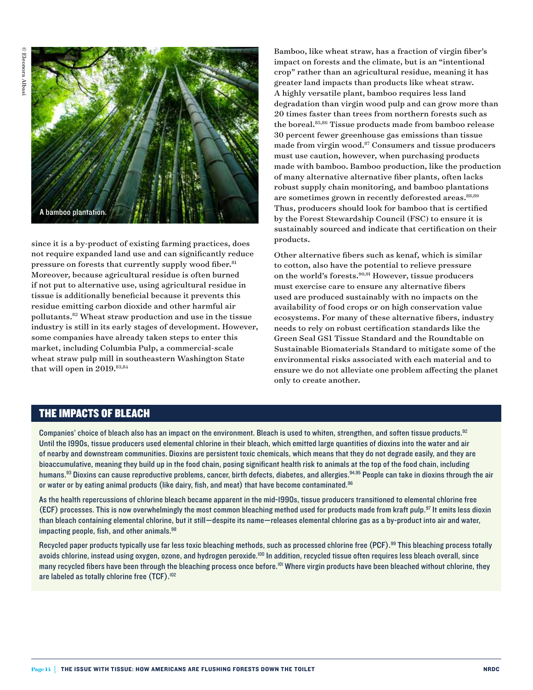

since it is a by-product of existing farming practices, does not require expanded land use and can significantly reduce pressure on forests that currently supply wood fiber.<sup>81</sup> Moreover, because agricultural residue is often burned if not put to alternative use, using agricultural residue in tissue is additionally beneficial because it prevents this residue emitting carbon dioxide and other harmful air pollutants.82 Wheat straw production and use in the tissue industry is still in its early stages of development. However, some companies have already taken steps to enter this market, including Columbia Pulp, a commercial-scale wheat straw pulp mill in southeastern Washington State that will open in 2019. 83,84

Bamboo, like wheat straw, has a fraction of virgin fiber's impact on forests and the climate, but is an "intentional crop" rather than an agricultural residue, meaning it has greater land impacts than products like wheat straw. A highly versatile plant, bamboo requires less land degradation than virgin wood pulp and can grow more than 20 times faster than trees from northern forests such as the boreal.85,86 Tissue products made from bamboo release 30 percent fewer greenhouse gas emissions than tissue made from virgin wood.<sup>87</sup> Consumers and tissue producers must use caution, however, when purchasing products made with bamboo. Bamboo production, like the production of many alternative alternative fiber plants, often lacks robust supply chain monitoring, and bamboo plantations are sometimes grown in recently deforested areas.<sup>88,89</sup> Thus, producers should look for bamboo that is certified by the Forest Stewardship Council (FSC) to ensure it is sustainably sourced and indicate that certification on their products.

Other alternative fibers such as kenaf, which is similar to cotton, also have the potential to relieve pressure on the world's forests.90,91 However, tissue producers must exercise care to ensure any alternative fibers used are produced sustainably with no impacts on the availability of food crops or on high conservation value ecosystems. For many of these alternative fibers, industry needs to rely on robust certification standards like the Green Seal GS1 Tissue Standard and the Roundtable on Sustainable Biomaterials Standard to mitigate some of the environmental risks associated with each material and to ensure we do not alleviate one problem affecting the planet only to create another.

#### THE IMPACTS OF BLEACH

Companies' choice of bleach also has an impact on the environment. Bleach is used to whiten, strengthen, and soften tissue products.<sup>92</sup> Until the 1990s, tissue producers used elemental chlorine in their bleach, which emitted large quantities of dioxins into the water and air of nearby and downstream communities. Dioxins are persistent toxic chemicals, which means that they do not degrade easily, and they are bioaccumulative, meaning they build up in the food chain, posing significant health risk to animals at the top of the food chain, including humans.<sup>93</sup> Dioxins can cause reproductive problems, cancer, birth defects, diabetes, and allergies.<sup>94,95</sup> People can take in dioxins through the air or water or by eating animal products (like dairy, fish, and meat) that have become contaminated.<sup>96</sup>

As the health repercussions of chlorine bleach became apparent in the mid-1990s, tissue producers transitioned to elemental chlorine free (ECF) processes. This is now overwhelmingly the most common bleaching method used for products made from kraft pulp.<sup>97</sup> It emits less dioxin than bleach containing elemental chlorine, but it still—despite its name—releases elemental chlorine gas as a by-product into air and water, impacting people, fish, and other animals. $98$ 

Recycled paper products typically use far less toxic bleaching methods, such as processed chlorine free (PCF).<sup>99</sup> This bleaching process totally avoids chlorine, instead using oxygen, ozone, and hydrogen peroxide.<sup>100</sup> In addition, recycled tissue often requires less bleach overall, since many recycled fibers have been through the bleaching process once before.<sup>101</sup> Where virgin products have been bleached without chlorine, they are labeled as totally chlorine free (TCF).<sup>102</sup>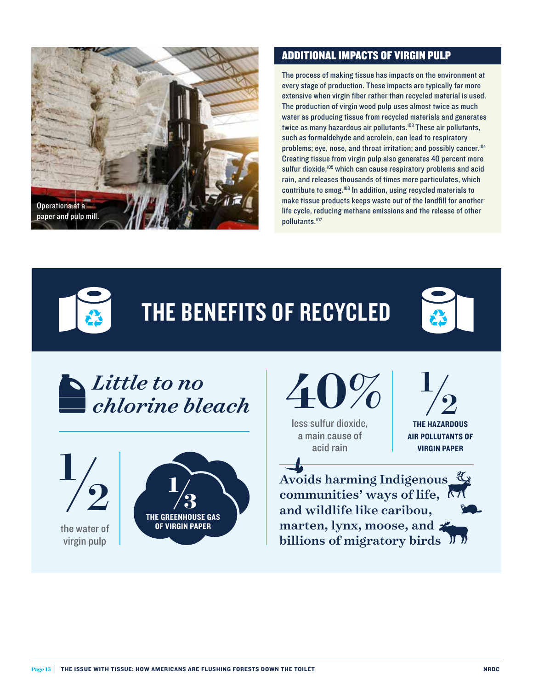

#### ADDITIONAL IMPACTS OF VIRGIN PULP

The process of making tissue has impacts on the environment at every stage of production. These impacts are typically far more extensive when virgin fiber rather than recycled material is used. The production of virgin wood pulp uses almost twice as much water as producing tissue from recycled materials and generates twice as many hazardous air pollutants.<sup>103</sup> These air pollutants, such as formaldehyde and acrolein, can lead to respiratory problems; eye, nose, and throat irritation; and possibly cancer.<sup>104</sup> Creating tissue from virgin pulp also generates 40 percent more sulfur dioxide,<sup>105</sup> which can cause respiratory problems and acid rain, and releases thousands of times more particulates, which contribute to smog.106 In addition, using recycled materials to make tissue products keeps waste out of the landfill for another life cycle, reducing methane emissions and the release of other pollutants.107



THE BENEFITS OF RECYCLED



*Little to no chlorine bleach*

the water of virgin pulp 1





less sulfur dioxide, a main cause of acid rain

1  $\frac{1}{2}$ 

THE HAZARDOUS AIR POLLUTANTS OF VIRGIN PAPER

Avoids harming Indigenous communities' ways of life, and wildlife like caribou, marten, lynx, moose, and billions of migratory birds  $\mathcal{V}$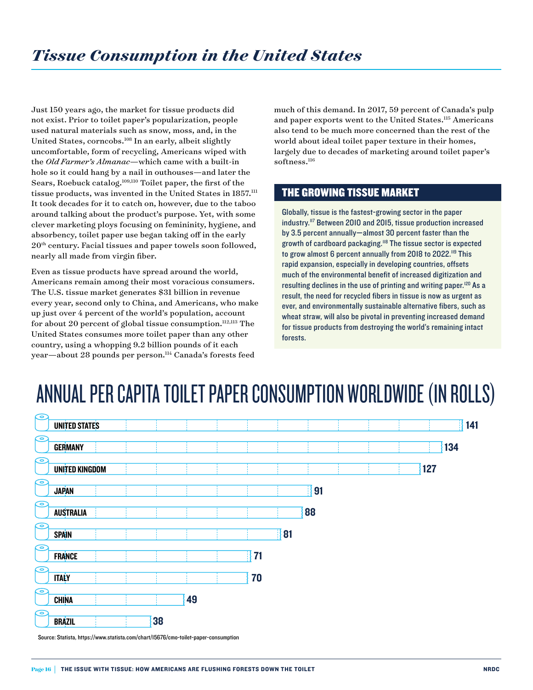Just 150 years ago, the market for tissue products did not exist. Prior to toilet paper's popularization, people used natural materials such as snow, moss, and, in the United States, corncobs.<sup>108</sup> In an early, albeit slightly uncomfortable, form of recycling, Americans wiped with the *Old Farmer's Almanac*—which came with a built-in hole so it could hang by a nail in outhouses—and later the Sears, Roebuck catalog.<sup>109,110</sup> Toilet paper, the first of the tissue products, was invented in the United States in  $1857$ .<sup>111</sup> It took decades for it to catch on, however, due to the taboo around talking about the product's purpose. Yet, with some clever marketing ploys focusing on femininity, hygiene, and absorbency, toilet paper use began taking off in the early  $20<sup>th</sup>$  century. Facial tissues and paper towels soon followed, nearly all made from virgin fiber.

Even as tissue products have spread around the world, Americans remain among their most voracious consumers. The U.S. tissue market generates \$31 billion in revenue every year, second only to China, and Americans, who make up just over 4 percent of the world's population, account for about 20 percent of global tissue consumption. $^{112,113}$  The United States consumes more toilet paper than any other country, using a whopping 9.2 billion pounds of it each year-about 28 pounds per person.<sup>114</sup> Canada's forests feed

much of this demand. In 2017, 59 percent of Canada's pulp and paper exports went to the United States.115 Americans also tend to be much more concerned than the rest of the world about ideal toilet paper texture in their homes, largely due to decades of marketing around toilet paper's softness.<sup>116</sup>

#### THE GROWING TISSUE MARKET

Globally, tissue is the fastest-growing sector in the paper industry.<sup>117</sup> Between 2010 and 2015, tissue production increased by 3.5 percent annually—almost 30 percent faster than the growth of cardboard packaging.<sup>118</sup> The tissue sector is expected to grow almost 6 percent annually from 2018 to 2022.<sup>119</sup> This rapid expansion, especially in developing countries, offsets much of the environmental benefit of increased digitization and resulting declines in the use of printing and writing paper.<sup>120</sup> As a result, the need for recycled fibers in tissue is now as urgent as ever, and environmentally sustainable alternative fibers, such as wheat straw, will also be pivotal in preventing increased demand for tissue products from destroying the world's remaining intact forests.

## ANNUAL PER CAPITA TOILET PAPER CONSUMPTION WORLDWIDE (IN ROLLS)

| مڪ                   |                       |    |    |    |    |    |  |     |
|----------------------|-----------------------|----|----|----|----|----|--|-----|
| <b>UNITED STATES</b> |                       |    |    |    |    |    |  | 141 |
| ೯                    |                       |    |    |    |    |    |  |     |
| <b>GERMANY</b>       |                       |    |    |    |    |    |  | 134 |
| $\overline{\bullet}$ |                       |    |    |    |    |    |  |     |
|                      | <b>UNITED KINGDOM</b> |    |    |    |    |    |  | 127 |
| $\overline{\bullet}$ |                       |    |    |    |    |    |  |     |
| <b>JAPAN</b>         |                       |    |    |    |    | 91 |  |     |
| $\bullet$            |                       |    |    |    |    |    |  |     |
| <b>AUSTRALIA</b>     |                       |    |    |    |    | 88 |  |     |
| ೯                    |                       |    |    |    |    |    |  |     |
| <b>SPAIN</b>         |                       |    |    |    | 81 |    |  |     |
| ೯                    |                       |    |    |    |    |    |  |     |
| <b>FRANCE</b>        |                       |    |    | 71 |    |    |  |     |
| $\bullet$            |                       |    |    |    |    |    |  |     |
| <b>ITALY</b>         |                       |    |    | 70 |    |    |  |     |
| Ō                    |                       |    |    |    |    |    |  |     |
| <b>CHINA</b>         |                       |    | 49 |    |    |    |  |     |
| ೯                    |                       |    |    |    |    |    |  |     |
| <b>BRAZIL</b>        |                       | 38 |    |    |    |    |  |     |

Source: Statista, https://www.statista.com/chart/15676/cmo-toilet-paper-consumption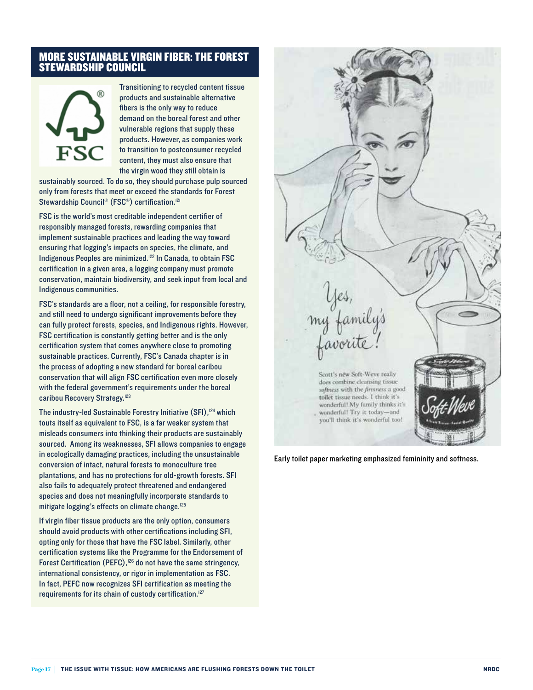#### MORE SUSTAINABLE VIRGIN FIBER: THE FOREST STEWARDSHIP COUNCIL

# FSC

Transitioning to recycled content tissue products and sustainable alternative fibers is the only way to reduce demand on the boreal forest and other vulnerable regions that supply these products. However, as companies work to transition to postconsumer recycled content, they must also ensure that the virgin wood they still obtain is

sustainably sourced. To do so, they should purchase pulp sourced only from forests that meet or exceed the standards for Forest Stewardship Council<sup>®</sup> (FSC<sup>®</sup>) certification.<sup>121</sup>

FSC is the world's most creditable independent certifier of responsibly managed forests, rewarding companies that implement sustainable practices and leading the way toward ensuring that logging's impacts on species, the climate, and Indigenous Peoples are minimized.<sup>122</sup> In Canada, to obtain FSC certification in a given area, a logging company must promote conservation, maintain biodiversity, and seek input from local and Indigenous communities.

FSC's standards are a floor, not a ceiling, for responsible forestry, and still need to undergo significant improvements before they can fully protect forests, species, and Indigenous rights. However, FSC certification is constantly getting better and is the only certification system that comes anywhere close to promoting sustainable practices. Currently, FSC's Canada chapter is in the process of adopting a new standard for boreal caribou conservation that will align FSC certification even more closely with the federal government's requirements under the boreal caribou Recovery Strategy.<sup>123</sup>

The industry-led Sustainable Forestry Initiative (SFI),<sup>124</sup> which touts itself as equivalent to FSC, is a far weaker system that misleads consumers into thinking their products are sustainably sourced. Among its weaknesses, SFI allows companies to engage in ecologically damaging practices, including the unsustainable conversion of intact, natural forests to monoculture tree plantations, and has no protections for old-growth forests. SFI also fails to adequately protect threatened and endangered species and does not meaningfully incorporate standards to mitigate logging's effects on climate change.<sup>125</sup>

If virgin fiber tissue products are the only option, consumers should avoid products with other certifications including SFI, opting only for those that have the FSC label. Similarly, other certification systems like the Programme for the Endorsement of Forest Certification (PEFC),<sup>126</sup> do not have the same stringency, international consistency, or rigor in implementation as FSC. In fact, PEFC now recognizes SFI certification as meeting the requirements for its chain of custody certification.<sup>127</sup>



Early toilet paper marketing emphasized femininity and softness.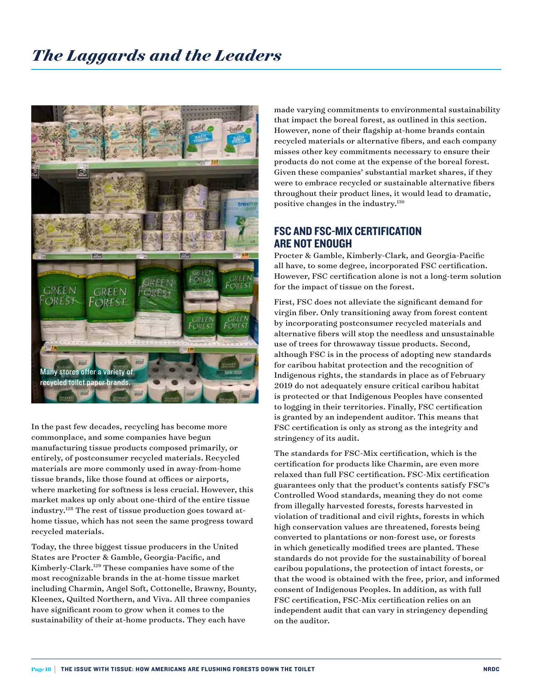

In the past few decades, recycling has become more commonplace, and some companies have begun manufacturing tissue products composed primarily, or entirely, of postconsumer recycled materials. Recycled materials are more commonly used in away-from-home tissue brands, like those found at offices or airports, where marketing for softness is less crucial. However, this market makes up only about one-third of the entire tissue industry.128 The rest of tissue production goes toward athome tissue, which has not seen the same progress toward recycled materials.

Today, the three biggest tissue producers in the United States are Procter & Gamble, Georgia-Pacific, and Kimberly-Clark.129 These companies have some of the most recognizable brands in the at-home tissue market including Charmin, Angel Soft, Cottonelle, Brawny, Bounty, Kleenex, Quilted Northern, and Viva. All three companies have significant room to grow when it comes to the sustainability of their at-home products. They each have

made varying commitments to environmental sustainability that impact the boreal forest, as outlined in this section. However, none of their flagship at-home brands contain recycled materials or alternative fibers, and each company misses other key commitments necessary to ensure their products do not come at the expense of the boreal forest. Given these companies' substantial market shares, if they were to embrace recycled or sustainable alternative fibers throughout their product lines, it would lead to dramatic, positive changes in the industry.130

#### FSC AND FSC-MIX CERTIFICATION ARE NOT ENOUGH

Procter & Gamble, Kimberly-Clark, and Georgia-Pacific all have, to some degree, incorporated FSC certification. However, FSC certification alone is not a long-term solution for the impact of tissue on the forest.

First, FSC does not alleviate the significant demand for virgin fiber. Only transitioning away from forest content by incorporating postconsumer recycled materials and alternative fibers will stop the needless and unsustainable use of trees for throwaway tissue products. Second, although FSC is in the process of adopting new standards for caribou habitat protection and the recognition of Indigenous rights, the standards in place as of February 2019 do not adequately ensure critical caribou habitat is protected or that Indigenous Peoples have consented to logging in their territories. Finally, FSC certification is granted by an independent auditor. This means that FSC certification is only as strong as the integrity and stringency of its audit.

The standards for FSC-Mix certification, which is the certification for products like Charmin, are even more relaxed than full FSC certification. FSC-Mix certification guarantees only that the product's contents satisfy FSC's Controlled Wood standards, meaning they do not come from illegally harvested forests, forests harvested in violation of traditional and civil rights, forests in which high conservation values are threatened, forests being converted to plantations or non-forest use, or forests in which genetically modified trees are planted. These standards do not provide for the sustainability of boreal caribou populations, the protection of intact forests, or that the wood is obtained with the free, prior, and informed consent of Indigenous Peoples. In addition, as with full FSC certification, FSC-Mix certification relies on an independent audit that can vary in stringency depending on the auditor.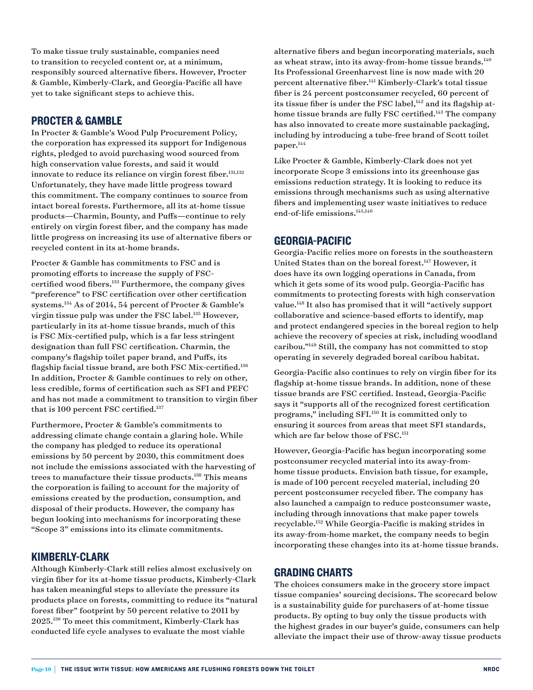To make tissue truly sustainable, companies need to transition to recycled content or, at a minimum, responsibly sourced alternative fibers. However, Procter & Gamble, Kimberly-Clark, and Georgia-Pacific all have yet to take significant steps to achieve this.

#### PROCTER & GAMBLE

In Procter & Gamble's Wood Pulp Procurement Policy, the corporation has expressed its support for Indigenous rights, pledged to avoid purchasing wood sourced from high conservation value forests, and said it would innovate to reduce its reliance on virgin forest fiber.<sup>131,132</sup> Unfortunately, they have made little progress toward this commitment. The company continues to source from intact boreal forests. Furthermore, all its at-home tissue products—Charmin, Bounty, and Puffs—continue to rely entirely on virgin forest fiber, and the company has made little progress on increasing its use of alternative fibers or recycled content in its at-home brands.

Procter & Gamble has commitments to FSC and is promoting efforts to increase the supply of FSCcertified wood fibers.133 Furthermore, the company gives "preference" to FSC certification over other certification systems.134 As of 2014, 54 percent of Procter & Gamble's virgin tissue pulp was under the FSC label.135 However, particularly in its at-home tissue brands, much of this is FSC Mix-certified pulp, which is a far less stringent designation than full FSC certification. Charmin, the company's flagship toilet paper brand, and Puffs, its flagship facial tissue brand, are both FSC Mix-certified.136 In addition, Procter & Gamble continues to rely on other, less credible, forms of certification such as SFI and PEFC and has not made a commitment to transition to virgin fiber that is 100 percent FSC certified.<sup>137</sup>

Furthermore, Procter & Gamble's commitments to addressing climate change contain a glaring hole. While the company has pledged to reduce its operational emissions by 50 percent by 2030, this commitment does not include the emissions associated with the harvesting of trees to manufacture their tissue products.138 This means the corporation is failing to account for the majority of emissions created by the production, consumption, and disposal of their products. However, the company has begun looking into mechanisms for incorporating these "Scope 3" emissions into its climate commitments.

#### KIMBERLY-CLARK

Although Kimberly-Clark still relies almost exclusively on virgin fiber for its at-home tissue products, Kimberly-Clark has taken meaningful steps to alleviate the pressure its products place on forests, committing to reduce its "natural forest fiber" footprint by 50 percent relative to 2011 by 2025.139 To meet this commitment, Kimberly-Clark has conducted life cycle analyses to evaluate the most viable

alternative fibers and begun incorporating materials, such as wheat straw, into its away-from-home tissue brands.<sup>140</sup> Its Professional Greenharvest line is now made with 20 percent alternative fiber.141 Kimberly-Clark's total tissue fiber is 24 percent postconsumer recycled, 60 percent of its tissue fiber is under the FSC label, $^{142}$  and its flagship athome tissue brands are fully FSC certified.<sup>143</sup> The company has also innovated to create more sustainable packaging, including by introducing a tube-free brand of Scott toilet paper.144

Like Procter & Gamble, Kimberly-Clark does not yet incorporate Scope 3 emissions into its greenhouse gas emissions reduction strategy. It is looking to reduce its emissions through mechanisms such as using alternative fibers and implementing user waste initiatives to reduce end-of-life emissions.<sup>145,146</sup>

#### GEORGIA-PACIFIC

Georgia-Pacific relies more on forests in the southeastern United States than on the boreal forest.147 However, it does have its own logging operations in Canada, from which it gets some of its wood pulp. Georgia-Pacific has commitments to protecting forests with high conservation value.148 It also has promised that it will "actively support collaborative and science-based efforts to identify, map and protect endangered species in the boreal region to help achieve the recovery of species at risk, including woodland caribou."149 Still, the company has not committed to stop operating in severely degraded boreal caribou habitat.

Georgia-Pacific also continues to rely on virgin fiber for its flagship at-home tissue brands. In addition, none of these tissue brands are FSC certified. Instead, Georgia-Pacific says it "supports all of the recognized forest certification programs," including SFI.150 It is committed only to ensuring it sources from areas that meet SFI standards, which are far below those of FSC.<sup>151</sup>

However, Georgia-Pacific has begun incorporating some postconsumer recycled material into its away-fromhome tissue products. Envision bath tissue, for example, is made of 100 percent recycled material, including 20 percent postconsumer recycled fiber. The company has also launched a campaign to reduce postconsumer waste, including through innovations that make paper towels recyclable.152 While Georgia-Pacific is making strides in its away-from-home market, the company needs to begin incorporating these changes into its at-home tissue brands.

#### GRADING CHARTS

The choices consumers make in the grocery store impact tissue companies' sourcing decisions. The scorecard below is a sustainability guide for purchasers of at-home tissue products. By opting to buy only the tissue products with the highest grades in our buyer's guide, consumers can help alleviate the impact their use of throw-away tissue products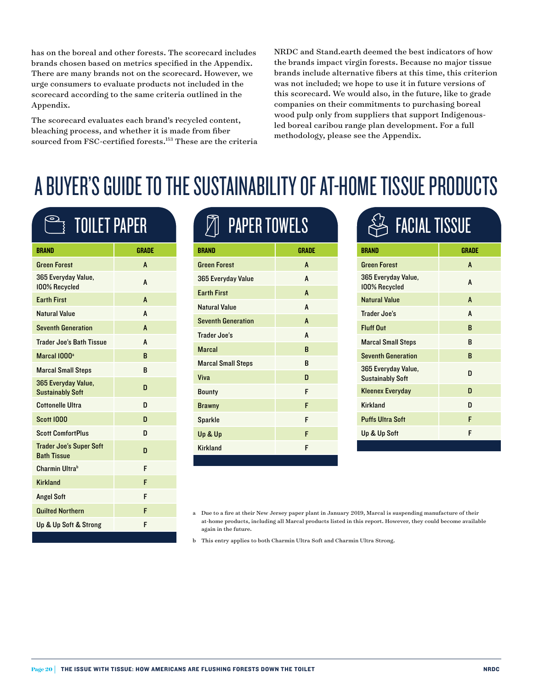has on the boreal and other forests. The scorecard includes brands chosen based on metrics specified in the Appendix. There are many brands not on the scorecard. However, we urge consumers to evaluate products not included in the scorecard according to the same criteria outlined in the Appendix.

The scorecard evaluates each brand's recycled content, bleaching process, and whether it is made from fiber sourced from FSC-certified forests.153 These are the criteria NRDC and Stand.earth deemed the best indicators of how the brands impact virgin forests. Because no major tissue brands include alternative fibers at this time, this criterion was not included; we hope to use it in future versions of this scorecard. We would also, in the future, like to grade companies on their commitments to purchasing boreal wood pulp only from suppliers that support Indigenousled boreal caribou range plan development. For a full methodology, please see the Appendix.

## A BUYER'S GUIDE TO THE SUSTAINABILITY OF AT-HOME TISSUE PRODUCTS

## **SEPTIOLET PAPER**

| <b>BRAND</b>                                         | GRADE |
|------------------------------------------------------|-------|
| <b>Green Forest</b>                                  | A     |
| 365 Everyday Value,<br>100% Recycled                 | A     |
| <b>Earth First</b>                                   | A     |
| Natural Value                                        | A     |
| <b>Seventh Generation</b>                            | A     |
| <b>Trader Joe's Bath Tissue</b>                      | A     |
| Marcal 1000 <sup>a</sup>                             | B     |
| <b>Marcal Small Steps</b>                            | в     |
| 365 Everyday Value,<br><b>Sustainably Soft</b>       | n     |
| Cottonelle Ultra                                     | D     |
| <b>Scott 1000</b>                                    | n     |
| <b>Scott ComfortPlus</b>                             | n     |
| <b>Trader Joe's Super Soft</b><br><b>Bath Tissue</b> | n     |
| Charmin Ultra <sup>b</sup>                           | F     |
| <b>Kirkland</b>                                      | F     |
| <b>Angel Soft</b>                                    | F     |
| <b>Quilted Northern</b>                              | F     |
| Up & Up Soft & Strong                                | F     |

| <b>PAPER TOWELS</b>       |              |  |  |
|---------------------------|--------------|--|--|
| BRAND                     | <b>GRADE</b> |  |  |
| <b>Green Forest</b>       | A            |  |  |
| 365 Everyday Value        | A            |  |  |
| <b>Earth First</b>        | A            |  |  |
| Natural Value             | A            |  |  |
| <b>Seventh Generation</b> | A            |  |  |
| Trader Joe's              | A            |  |  |
| <b>Marcal</b>             | R            |  |  |
| <b>Marcal Small Steps</b> | R            |  |  |
| Viva                      | n            |  |  |
| <b>Bounty</b>             | F            |  |  |
| <b>Brawny</b>             | F            |  |  |
| <b>Sparkle</b>            | F            |  |  |
| Up & Up                   | F            |  |  |
| <b>Kirkland</b>           | F            |  |  |

| <b>FACIAL TISSUE</b>                           |       |  |  |
|------------------------------------------------|-------|--|--|
| <b>BRAND</b>                                   | GRADE |  |  |
| <b>Green Forest</b>                            | A     |  |  |
| 365 Everyday Value,<br>100% Recycled           | A     |  |  |
| <b>Natural Value</b>                           | A     |  |  |
| Trader Joe's                                   | A     |  |  |
| <b>Fluff Out</b>                               | R     |  |  |
| <b>Marcal Small Steps</b>                      | R     |  |  |
| <b>Seventh Generation</b>                      | R     |  |  |
| 365 Everyday Value,<br><b>Sustainably Soft</b> | n     |  |  |
| <b>Kleenex Everyday</b>                        | n     |  |  |
| <b>Kirkland</b>                                | n     |  |  |
| <b>Puffs Ultra Soft</b>                        | F     |  |  |
| Up & Up Soft                                   | F     |  |  |

b This entry applies to both Charmin Ultra Soft and Charmin Ultra Strong.

a Due to a fire at their New Jersey paper plant in January 2019, Marcal is suspending manufacture of their at-home products, including all Marcal products listed in this report. However, they could become available again in the future.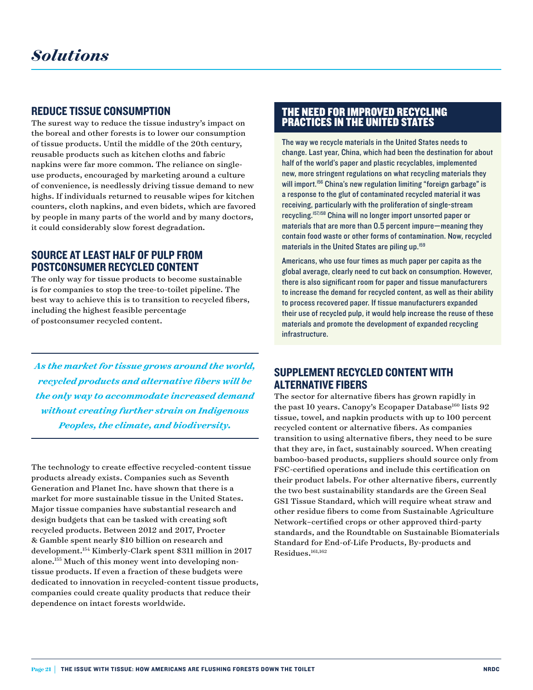#### REDUCE TISSUE CONSUMPTION

The surest way to reduce the tissue industry's impact on the boreal and other forests is to lower our consumption of tissue products. Until the middle of the 20th century, reusable products such as kitchen cloths and fabric napkins were far more common. The reliance on singleuse products, encouraged by marketing around a culture of convenience, is needlessly driving tissue demand to new highs. If individuals returned to reusable wipes for kitchen counters, cloth napkins, and even bidets, which are favored by people in many parts of the world and by many doctors, it could considerably slow forest degradation.

#### SOURCE AT LEAST HALF OF PULP FROM POSTCONSUMER RECYCLED CONTENT

The only way for tissue products to become sustainable is for companies to stop the tree-to-toilet pipeline. The best way to achieve this is to transition to recycled fibers, including the highest feasible percentage of postconsumer recycled content.

*As the market for tissue grows around the world, recycled products and alternative fibers will be the only way to accommodate increased demand without creating further strain on Indigenous Peoples, the climate, and biodiversity.* 

The technology to create effective recycled-content tissue products already exists. Companies such as Seventh Generation and Planet Inc. have shown that there is a market for more sustainable tissue in the United States. Major tissue companies have substantial research and design budgets that can be tasked with creating soft recycled products. Between 2012 and 2017, Procter & Gamble spent nearly \$10 billion on research and development.154 Kimberly-Clark spent \$311 million in 2017 alone.155 Much of this money went into developing nontissue products. If even a fraction of these budgets were dedicated to innovation in recycled-content tissue products, companies could create quality products that reduce their dependence on intact forests worldwide.

#### THE NEED FOR IMPROVED RECYCLING PRACTICES IN THE UNITED STATES

The way we recycle materials in the United States needs to change. Last year, China, which had been the destination for about half of the world's paper and plastic recyclables, implemented new, more stringent regulations on what recycling materials they will import.<sup>156</sup> China's new regulation limiting "foreign garbage" is a response to the glut of contaminated recycled material it was receiving, particularly with the proliferation of single-stream recycling.157,158 China will no longer import unsorted paper or materials that are more than 0.5 percent impure—meaning they contain food waste or other forms of contamination. Now, recycled materials in the United States are piling up.<sup>159</sup>

Americans, who use four times as much paper per capita as the global average, clearly need to cut back on consumption. However, there is also significant room for paper and tissue manufacturers to increase the demand for recycled content, as well as their ability to process recovered paper. If tissue manufacturers expanded their use of recycled pulp, it would help increase the reuse of these materials and promote the development of expanded recycling infrastructure.

#### SUPPLEMENT RECYCLED CONTENT WITH ALTERNATIVE FIBERS

The sector for alternative fibers has grown rapidly in the past 10 years. Canopy's Ecopaper Database<sup>160</sup> lists  $92$ tissue, towel, and napkin products with up to 100 percent recycled content or alternative fibers. As companies transition to using alternative fibers, they need to be sure that they are, in fact, sustainably sourced. When creating bamboo-based products, suppliers should source only from FSC-certified operations and include this certification on their product labels. For other alternative fibers, currently the two best sustainability standards are the Green Seal GS1 Tissue Standard, which will require wheat straw and other residue fibers to come from Sustainable Agriculture Network–certified crops or other approved third-party standards, and the Roundtable on Sustainable Biomaterials Standard for End-of-Life Products, By-products and Residues.<sup>161,162</sup>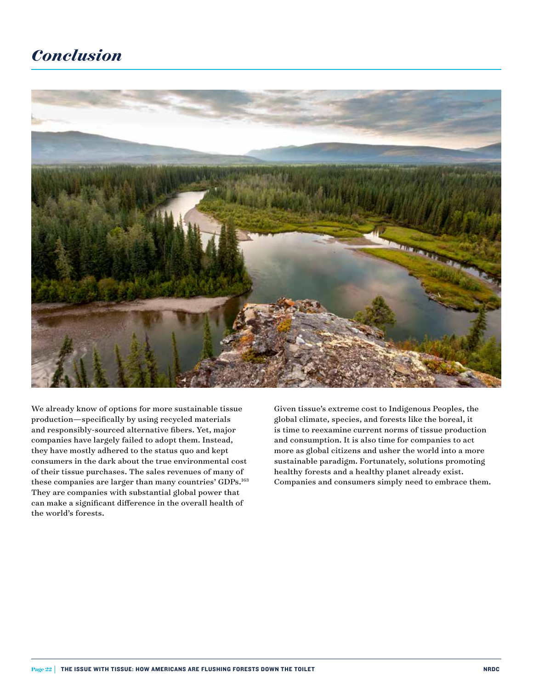#### *Conclusion*



We already know of options for more sustainable tissue production—specifically by using recycled materials and responsibly-sourced alternative fibers. Yet, major companies have largely failed to adopt them. Instead, they have mostly adhered to the status quo and kept consumers in the dark about the true environmental cost of their tissue purchases. The sales revenues of many of these companies are larger than many countries' GDPs.<sup>163</sup> They are companies with substantial global power that can make a significant difference in the overall health of the world's forests.

Given tissue's extreme cost to Indigenous Peoples, the global climate, species, and forests like the boreal, it is time to reexamine current norms of tissue production and consumption. It is also time for companies to act more as global citizens and usher the world into a more sustainable paradigm. Fortunately, solutions promoting healthy forests and a healthy planet already exist. Companies and consumers simply need to embrace them.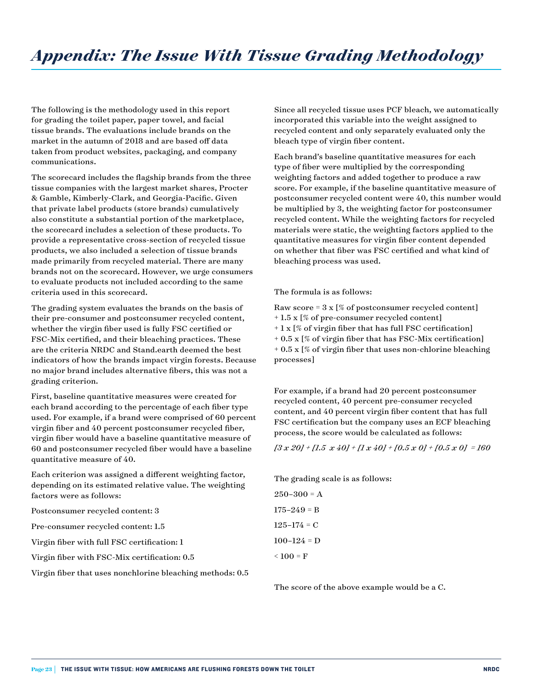The following is the methodology used in this report for grading the toilet paper, paper towel, and facial tissue brands. The evaluations include brands on the market in the autumn of 2018 and are based off data taken from product websites, packaging, and company communications.

The scorecard includes the flagship brands from the three tissue companies with the largest market shares, Procter & Gamble, Kimberly-Clark, and Georgia-Pacific. Given that private label products (store brands) cumulatively also constitute a substantial portion of the marketplace, the scorecard includes a selection of these products. To provide a representative cross-section of recycled tissue products, we also included a selection of tissue brands made primarily from recycled material. There are many brands not on the scorecard. However, we urge consumers to evaluate products not included according to the same criteria used in this scorecard.

The grading system evaluates the brands on the basis of their pre-consumer and postconsumer recycled content, whether the virgin fiber used is fully FSC certified or FSC-Mix certified, and their bleaching practices. These are the criteria NRDC and Stand.earth deemed the best indicators of how the brands impact virgin forests. Because no major brand includes alternative fibers, this was not a grading criterion.

First, baseline quantitative measures were created for each brand according to the percentage of each fiber type used. For example, if a brand were comprised of 60 percent virgin fiber and 40 percent postconsumer recycled fiber, virgin fiber would have a baseline quantitative measure of 60 and postconsumer recycled fiber would have a baseline quantitative measure of 40.

Each criterion was assigned a different weighting factor, depending on its estimated relative value. The weighting factors were as follows:

Postconsumer recycled content: 3

Pre-consumer recycled content: 1.5

Virgin fiber with full FSC certification: 1

Virgin fiber with FSC-Mix certification: 0.5

Virgin fiber that uses nonchlorine bleaching methods: 0.5

Since all recycled tissue uses PCF bleach, we automatically incorporated this variable into the weight assigned to recycled content and only separately evaluated only the bleach type of virgin fiber content.

Each brand's baseline quantitative measures for each type of fiber were multiplied by the corresponding weighting factors and added together to produce a raw score. For example, if the baseline quantitative measure of postconsumer recycled content were 40, this number would be multiplied by 3, the weighting factor for postconsumer recycled content. While the weighting factors for recycled materials were static, the weighting factors applied to the quantitative measures for virgin fiber content depended on whether that fiber was FSC certified and what kind of bleaching process was used.

The formula is as follows:

Raw score =  $3 \times$  [% of postconsumer recycled content] + 1.5 x [% of pre-consumer recycled content]  $+ 1 x$  [% of virgin fiber that has full FSC certification] + 0.5 x [% of virgin fiber that has FSC-Mix certification]  $+ 0.5$  x [% of virgin fiber that uses non-chlorine bleaching processes]

For example, if a brand had 20 percent postconsumer recycled content, 40 percent pre-consumer recycled content, and 40 percent virgin fiber content that has full FSC certification but the company uses an ECF bleaching process, the score would be calculated as follows:

*[3 x 20] + [1.5 x 40] + [1 x 40] + [0.5 x 0] + [0.5 x 0] = 160*

The grading scale is as follows:

 $250-300 = A$  $175 - 249 = B$  $125 - 174 = C$  $100-124 = D$  $< 100 = F$ 

The score of the above example would be a C.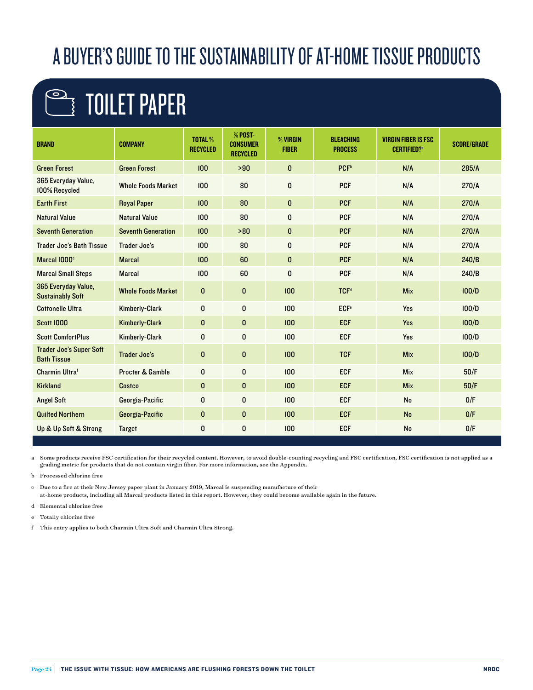## A BUYER'S GUIDE TO THE SUSTAINABILITY OF AT-HOME TISSUE PRODUCTS

## $\rightarrow$  Toilet paper

| <b>BRAND</b>                                         | <b>COMPANY</b>              | <b>TOTAL %</b><br><b>RECYCLED</b> | % POST-<br><b>CONSUMER</b><br><b>RECYCLED</b> | % VIRGIN<br><b>FIBER</b> | <b>BLEACHING</b><br><b>PROCESS</b> | <b>VIRGIN FIBER IS FSC</b><br><b>CERTIFIED?</b> <sup>a</sup> | <b>SCORE/GRADE</b> |
|------------------------------------------------------|-----------------------------|-----------------------------------|-----------------------------------------------|--------------------------|------------------------------------|--------------------------------------------------------------|--------------------|
| <b>Green Forest</b>                                  | <b>Green Forest</b>         | 100                               | >90                                           | 0                        | <b>PCF</b> <sup>b</sup>            | N/A                                                          | 285/A              |
| 365 Everyday Value,<br>100% Recycled                 | <b>Whole Foods Market</b>   | 100                               | 80                                            | 0                        | <b>PCF</b>                         | N/A                                                          | 270/A              |
| <b>Earth First</b>                                   | <b>Royal Paper</b>          | 100                               | 80                                            | $\mathbf{0}$             | <b>PCF</b>                         | N/A                                                          | 270/A              |
| <b>Natural Value</b>                                 | <b>Natural Value</b>        | 100                               | 80                                            | 0                        | <b>PCF</b>                         | N/A                                                          | 270/A              |
| <b>Seventh Generation</b>                            | <b>Seventh Generation</b>   | 100                               | >80                                           | 0                        | <b>PCF</b>                         | N/A                                                          | 270/A              |
| <b>Trader Joe's Bath Tissue</b>                      | <b>Trader Joe's</b>         | 100                               | 80                                            | 0                        | <b>PCF</b>                         | N/A                                                          | 270/A              |
| Marcal 1000°                                         | <b>Marcal</b>               | 100                               | 60                                            | 0                        | <b>PCF</b>                         | N/A                                                          | 240/B              |
| <b>Marcal Small Steps</b>                            | <b>Marcal</b>               | 100                               | 60                                            | 0                        | <b>PCF</b>                         | N/A                                                          | 240/B              |
| 365 Everyday Value,<br><b>Sustainably Soft</b>       | <b>Whole Foods Market</b>   | $\mathbf{0}$                      | $\mathbf{0}$                                  | 100                      | <b>TCF<sup>d</sup></b>             | <b>Mix</b>                                                   | 100/D              |
| <b>Cottonelle Ultra</b>                              | <b>Kimberly-Clark</b>       | 0                                 | $\mathbf{0}$                                  | 100                      | <b>ECF<sup>e</sup></b>             | Yes                                                          | 100/D              |
| <b>Scott 1000</b>                                    | <b>Kimberly-Clark</b>       | $\mathbf{0}$                      | $\bf{0}$                                      | 100                      | <b>ECF</b>                         | Yes                                                          | 100/D              |
| <b>Scott ComfortPlus</b>                             | <b>Kimberly-Clark</b>       | 0                                 | 0                                             | 100                      | <b>ECF</b>                         | Yes                                                          | 100/D              |
| <b>Trader Joe's Super Soft</b><br><b>Bath Tissue</b> | <b>Trader Joe's</b>         | 0                                 | $\mathbf{0}$                                  | 100                      | <b>TCF</b>                         | <b>Mix</b>                                                   | 100/D              |
| <b>Charmin Ultraf</b>                                | <b>Procter &amp; Gamble</b> | 0                                 | $\mathbf{0}$                                  | 100                      | <b>ECF</b>                         | <b>Mix</b>                                                   | 50/F               |
| <b>Kirkland</b>                                      | <b>Costco</b>               | $\mathbf{0}$                      | $\bf{0}$                                      | 100                      | <b>ECF</b>                         | <b>Mix</b>                                                   | 50/F               |
| <b>Angel Soft</b>                                    | Georgia-Pacific             | 0                                 | $\bf{0}$                                      | 100                      | <b>ECF</b>                         | <b>No</b>                                                    | 0/F                |
| <b>Quilted Northern</b>                              | Georgia-Pacific             | 0                                 | $\pmb{0}$                                     | 100                      | <b>ECF</b>                         | <b>No</b>                                                    | 0/F                |
| Up & Up Soft & Strong                                | <b>Target</b>               | 0                                 | 0                                             | 100                      | <b>ECF</b>                         | <b>No</b>                                                    | 0/F                |

a Some products receive FSC certification for their recycled content. However, to avoid double-counting recycling and FSC certification, FSC certification is not applied as a grading metric for products that do not contain virgin fiber. For more information, see the Appendix.

b Processed chlorine free

c Due to a fire at their New Jersey paper plant in January 2019, Marcal is suspending manufacture of their at-home products, including all Marcal products listed in this report. However, they could become available again in the future.

d Elemental chlorine free

e Totally chlorine free

f This entry applies to both Charmin Ultra Soft and Charmin Ultra Strong.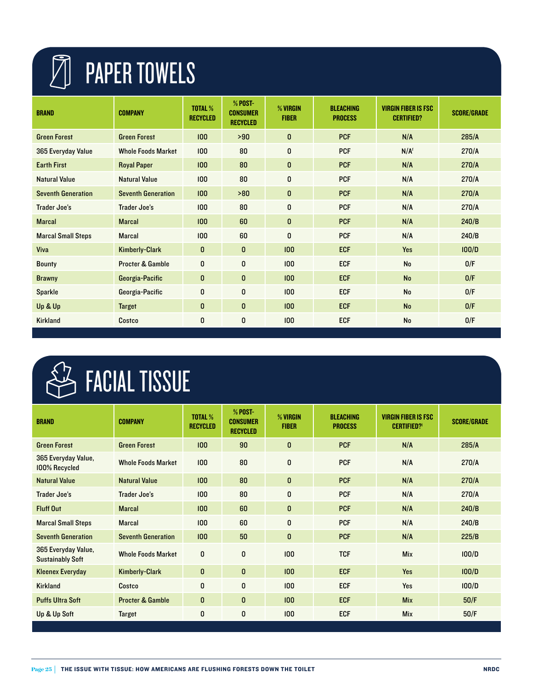# **TE PAPER TOWELS**

| <b>BRAND</b>              | <b>COMPANY</b>              | <b>TOTAL %</b><br><b>RECYCLED</b> | % POST-<br><b>CONSUMER</b><br><b>RECYCLED</b> | % VIRGIN<br><b>FIBER</b> | <b>BLEACHING</b><br><b>PROCESS</b> | <b>VIRGIN FIBER IS FSC</b><br><b>CERTIFIED?</b> | <b>SCORE/GRADE</b> |
|---------------------------|-----------------------------|-----------------------------------|-----------------------------------------------|--------------------------|------------------------------------|-------------------------------------------------|--------------------|
| <b>Green Forest</b>       | <b>Green Forest</b>         | 100                               | >90                                           | $\mathbf{0}$             | <b>PCF</b>                         | N/A                                             | 285/A              |
| 365 Everyday Value        | <b>Whole Foods Market</b>   | 100                               | 80                                            | $\mathbf{0}$             | <b>PCF</b>                         | N/A <sup>f</sup>                                | 270/A              |
| <b>Earth First</b>        | <b>Royal Paper</b>          | 100                               | 80                                            | $\mathbf 0$              | <b>PCF</b>                         | N/A                                             | 270/A              |
| <b>Natural Value</b>      | <b>Natural Value</b>        | 100                               | 80                                            | $\mathbf{0}$             | <b>PCF</b>                         | N/A                                             | 270/A              |
| <b>Seventh Generation</b> | <b>Seventh Generation</b>   | 100                               | >80                                           | $\mathbf{0}$             | <b>PCF</b>                         | N/A                                             | 270/A              |
| Trader Joe's              | Trader Joe's                | 100                               | 80                                            | $\mathbf{0}$             | <b>PCF</b>                         | N/A                                             | 270/A              |
| <b>Marcal</b>             | <b>Marcal</b>               | 100                               | 60                                            | $\mathbf 0$              | <b>PCF</b>                         | N/A                                             | 240/B              |
| <b>Marcal Small Steps</b> | <b>Marcal</b>               | 100                               | 60                                            | $\mathbf{0}$             | <b>PCF</b>                         | N/A                                             | 240/B              |
| <b>Viva</b>               | <b>Kimberly-Clark</b>       | 0                                 | $\mathbf{0}$                                  | 100                      | <b>ECF</b>                         | Yes                                             | 100/D              |
| <b>Bounty</b>             | <b>Procter &amp; Gamble</b> | 0                                 | $\mathbf{0}$                                  | 100                      | <b>ECF</b>                         | <b>No</b>                                       | 0/F                |
| <b>Brawny</b>             | Georgia-Pacific             | $\mathbf{0}$                      | $\mathbf{0}$                                  | 100 <sub>1</sub>         | <b>ECF</b>                         | <b>No</b>                                       | 0/F                |
| <b>Sparkle</b>            | Georgia-Pacific             | 0                                 | 0                                             | 100 <sub>1</sub>         | <b>ECF</b>                         | <b>No</b>                                       | 0/F                |
| Up & Up                   | <b>Target</b>               | $\mathbf{0}$                      | $\mathbf{0}$                                  | 100 <sub>1</sub>         | <b>ECF</b>                         | <b>No</b>                                       | 0/F                |
| <b>Kirkland</b>           | Costco                      | 0                                 | 0                                             | 100                      | <b>ECF</b>                         | <b>No</b>                                       | 0/F                |

# **ES FACIAL TISSUE**

| <b>BRAND</b>                                   | <b>COMPANY</b>              | <b>TOTAL %</b><br><b>RECYCLED</b> | % POST-<br><b>CONSUMER</b><br><b>RECYCLED</b> | % VIRGIN<br><b>FIBER</b> | <b>BLEACHING</b><br><b>PROCESS</b> | <b>VIRGIN FIBER IS FSC</b><br><b>CERTIFIED?'</b> | <b>SCORE/GRADE</b> |
|------------------------------------------------|-----------------------------|-----------------------------------|-----------------------------------------------|--------------------------|------------------------------------|--------------------------------------------------|--------------------|
| <b>Green Forest</b>                            | <b>Green Forest</b>         | 100 <sub>1</sub>                  | 90                                            | $\mathbf{0}$             | <b>PCF</b>                         | N/A                                              | 285/A              |
| 365 Everyday Value,<br>100% Recycled           | <b>Whole Foods Market</b>   | 100                               | 80                                            | 0                        | <b>PCF</b>                         | N/A                                              | 270/A              |
| <b>Natural Value</b>                           | <b>Natural Value</b>        | 100                               | 80                                            | $\mathbf{0}$             | <b>PCF</b>                         | N/A                                              | 270/A              |
| Trader Joe's                                   | Trader Joe's                | 100                               | 80                                            | 0                        | <b>PCF</b>                         | N/A                                              | 270/A              |
| <b>Fluff Out</b>                               | <b>Marcal</b>               | 100                               | 60                                            | $\mathbf{0}$             | <b>PCF</b>                         | N/A                                              | 240/B              |
| <b>Marcal Small Steps</b>                      | <b>Marcal</b>               | 100                               | 60                                            | 0                        | <b>PCF</b>                         | N/A                                              | 240/B              |
| <b>Seventh Generation</b>                      | <b>Seventh Generation</b>   | 100                               | 50                                            | $\mathbf{0}$             | <b>PCF</b>                         | N/A                                              | 225/B              |
| 365 Everyday Value,<br><b>Sustainably Soft</b> | <b>Whole Foods Market</b>   | $\mathbf 0$                       | $\mathbf{0}$                                  | 100                      | <b>TCF</b>                         | <b>Mix</b>                                       | 100/D              |
| <b>Kleenex Everyday</b>                        | <b>Kimberly-Clark</b>       | $\mathbf{0}$                      | $\mathbf{0}$                                  | 100                      | <b>ECF</b>                         | Yes                                              | 100/D              |
| <b>Kirkland</b>                                | Costco                      | 0                                 | 0                                             | 100                      | <b>ECF</b>                         | Yes                                              | 100/D              |
| <b>Puffs Ultra Soft</b>                        | <b>Procter &amp; Gamble</b> | $\mathbf{0}$                      | $\mathbf{0}$                                  | 100                      | <b>ECF</b>                         | <b>Mix</b>                                       | 50/F               |
| Up & Up Soft                                   | <b>Target</b>               | 0                                 | 0                                             | 100                      | <b>ECF</b>                         | <b>Mix</b>                                       | 50/F               |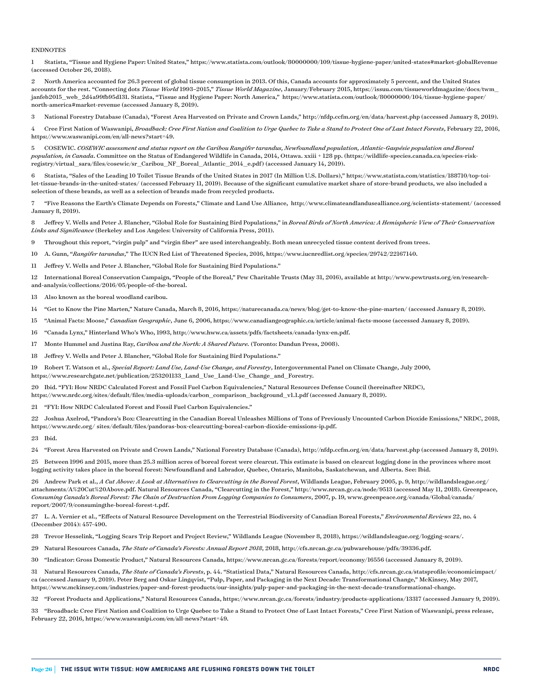#### ENDNOTES

1 Statista, "Tissue and Hygiene Paper: United States," <https://www.statista.com/outlook/80000000/109/tissue-hygiene-paper/united-states#market-globalRevenue> (accessed October 26, 2018).

2 North America accounted for 26.3 percent of global tissue consumption in 2013. Of this, Canada accounts for approximately 5 percent, and the United States accounts for the rest. "Connecting dots *Tissue World* 1993–2015," *Tissue World Magazine*, January/February 2015, [https://issuu.com/tissueworldmagazine/docs/twm\\_](https://issuu.com/tissueworldmagazine/docs/twm_janfeb2015_web_2d4a99fb95d131) [janfeb2015\\_web\\_2d4a99fb95d131.](https://issuu.com/tissueworldmagazine/docs/twm_janfeb2015_web_2d4a99fb95d131) Statista, "Tissue and Hygiene Paper: North America," [https://www.statista.com/outlook/80000000/104/tissue-hygiene-paper/](https://www.statista.com/outlook/80000000/104/tissue-hygiene-paper/north-america#market-revenue) [north-america#market-revenue](https://www.statista.com/outlook/80000000/104/tissue-hygiene-paper/north-america#market-revenue) (accessed January 8, 2019).

3 National Forestry Database (Canada), "Forest Area Harvested on Private and Crown Lands," <http://nfdp.ccfm.org/en/data/harvest.php>(accessed January 8, 2019).

4 Cree First Nation of Waswanipi, *Broadback: Cree First Nation and Coalition to Urge Quebec to Take a Stand to Protect One of Last Intact Forests*, February 22, 2016, <https://www.waswanipi.com/en/all-news?start=49>.

5 COSEWIC. *COSEWIC assessment and status report on the Caribou Rangifer tarandus, Newfoundland population, Atlantic-Gaspésie population and Boreal population, in Canada*. Committee on the Status of Endangered Wildlife in Canada, 2014, Ottawa. xxiii + 128 pp. (https://wildlife-species.canada.ca/species-riskregistry/virtual\_sara/files/cosewic/sr\_Caribou\_NF\_Boreal\_Atlantic\_2014\_e.pdf) (accessed January 14, 2019).

6 Statista, "Sales of the Leading 10 Toilet Tissue Brands of the United States in 2017 (In Million U.S. Dollars)," https://www.statista.com/statistics/188710/top-toilet-tissue-brands-in-the-united-states/ (accessed February 11, 2019). Because of the significant cumulative market share of store-brand products, we also included a selection of these brands, as well as a selection of brands made from recycled products.

7 "Five Reasons the Earth's Climate Depends on Forests," Climate and Land Use Alliance, <http://www.climateandlandusealliance.org/scientists-statement/>(accessed January 8, 2019).

8 Jeffrey V. Wells and Peter J. Blancher, "Global Role for Sustaining Bird Populations," in *Boreal Birds of North America: A Hemispheric View of Their Conservation Links and Significance* (Berkeley and Los Angeles: University of California Press, 2011).

9 Throughout this report, "virgin pulp" and "virgin fiber" are used interchangeably. Both mean unrecycled tissue content derived from trees.

10 A. Gunn, "*Rangifer tarandus*," The IUCN Red List of Threatened Species, 2016, <https://www.iucnredlist.org/species/29742/22167140>.

11 Jeffrey V. Wells and Peter J. Blancher, "Global Role for Sustaining Bird Populations."

12 International Boreal Conservation Campaign, "People of the Boreal," Pew Charitable Trusts (May 31, 2016), available at [http://www.pewtrusts.org/en/research](http://www.pewtrusts.org/en/research-and-analysis/collections/2016/05/people-of-the-boreal)[and-analysis/collections/2016/05/people-of-the-boreal.](http://www.pewtrusts.org/en/research-and-analysis/collections/2016/05/people-of-the-boreal)

13 Also known as the boreal woodland caribou.

14 "Get to Know the Pine Marten," Nature Canada, March 8, 2016, <https://naturecanada.ca/news/blog/get-to-know-the-pine-marten/>(accessed January 8, 2019).

15 "Animal Facts: Moose," *Canadian Geographic*, June 6, 2006,<https://www.canadiangeographic.ca/article/animal-facts-moose>(accessed January 8, 2019).

16 "Canada Lynx," Hinterland Who's Who, 1993, <http://www.hww.ca/assets/pdfs/factsheets/canada-lynx-en.pdf>.

17 Monte Hummel and Justina Ray, *Caribou and the North: A Shared Future.* (Toronto: Dundun Press, 2008).

18 Jeffrey V. Wells and Peter J. Blancher, "Global Role for Sustaining Bird Populations."

19 Robert T. Watson et al., *Special Report: Land Use, Land-Use Change, and Forestry*, Intergovernmental Panel on Climate Change, July 2000, [https://www.researchgate.net/publication/253201133\\_Land\\_Use\\_Land-Use\\_Change\\_and\\_Forestry.](https://www.researchgate.net/publication/253201133_Land_Use_Land-Use_Change_and_Forestry)

20 Ibid. "FYI: How NRDC Calculated Forest and Fossil Fuel Carbon Equivalencies," Natural Resources Defense Council (hereinafter NRDC), [https://www.nrdc.org/sites/default/files/media-uploads/carbon\\_comparison\\_background\\_v1.1.pdf](https://www.nrdc.org/sites/default/files/media-uploads/carbon_comparison_background_v1.1.pdf) (accessed January 8, 2019).

21 "FYI: How NRDC Calculated Forest and Fossil Fuel Carbon Equivalencies."

22 Joshua Axelrod, "Pandora's Box: Clearcutting in the Canadian Boreal Unleashes Millions of Tons of Previously Uncounted Carbon Dioxide Emissions," NRDC, 2018, https://www.nrdc.org/ sites/default/files/pandoras-box-clearcutting-boreal-carbon-dioxide-emissions-ip.pdf.

23 Ibid.

24 "Forest Area Harvested on Private and Crown Lands," National Forestry Database (Canada), <http://nfdp.ccfm.org/en/data/harvest.php>(accessed January 8, 2019).

25 Between 1996 and 2015, more than 25.3 million acres of boreal forest were clearcut. This estimate is based on clearcut logging done in the provinces where most logging activity takes place in the boreal forest: Newfoundland and Labrador, Quebec, Ontario, Manitoba, Saskatchewan, and Alberta. See: Ibid.

26 Andrew Park et al., *A Cut Above: A Look at Alternatives to Clearcutting in the Boreal Forest*, Wildlands League, February 2005, p. 9, http://wildlandsleague.org/ attachments/A%20Cut%20Above.pdf. Natural Resources Canada, "Clearcutting in the Forest," http://www.nrcan.gc.ca/node/9513 (accessed May 11, 2018). Greenpeace, *Consuming Canada's Boreal Forest: The Chain of Destruction From Logging Companies to Consumers*, 2007, p. 19, www.greenpeace.org/canada/Global/canada/ report/2007/9/consumingthe-boreal-forest-t.pdf.

27 L. A. Vernier et al., "Effects of Natural Resource Development on the Terrestrial Biodiversity of Canadian Boreal Forests," *Environmental Reviews* 22, no. 4 (December 2014): 457-490.

28 Trevor Hesselink, "Logging Scars Trip Report and Project Review," Wildlands League (November 8, 2018), [https://wildlandsleague.org/logging-scars/.](https://wildlandsleague.org/logging-scars/)

29 Natural Resources Canada, *The State of Canada's Forests: Annual Report 2018*, 2018, [http://cfs.nrcan.gc.ca/pubwarehouse/pdfs/39336.pdf.](http://cfs.nrcan.gc.ca/pubwarehouse/pdfs/39336.pdf)

30 "Indicator: Gross Domestic Product," Natural Resources Canada,<https://www.nrcan.gc.ca/forests/report/economy/16556> (accessed January 8, 2019).

31 Natural Resources Canada, *The State of Canada's Forests*, p. 44. "Statistical Data," Natural Resources Canada, [http://cfs.nrcan.gc.ca/statsprofile/economicimpact/](http://cfs.nrcan.gc.ca/statsprofile/economicimpact/ca) [ca](http://cfs.nrcan.gc.ca/statsprofile/economicimpact/ca) (accessed January 9, 2019). Peter Berg and Oskar Lingqvist, "Pulp, Paper, and Packaging in the Next Decade: Transformational Change," McKinsey, May 2017, [https://www.mckinsey.com/industries/paper-and-forest-products/our-insights/pulp-paper-and-packaging-in-the-next-decade-transformational-change.](https://www.mckinsey.com/industries/paper-and-forest-products/our-insights/pulp-paper-and-packaging-in-the-next-decade-transformational-change)

32 "Forest Products and Applications," Natural Resources Canada,<https://www.nrcan.gc.ca/forests/industry/products-applications/13317> (accessed January 9, 2019).

33 "Broadback: Cree First Nation and Coalition to Urge Quebec to Take a Stand to Protect One of Last Intact Forests," Cree First Nation of Waswanipi, press release, February 22, 2016, [https://www.waswanipi.com/en/all-news?start=49.](https://www.waswanipi.com/en/all-news?start=49)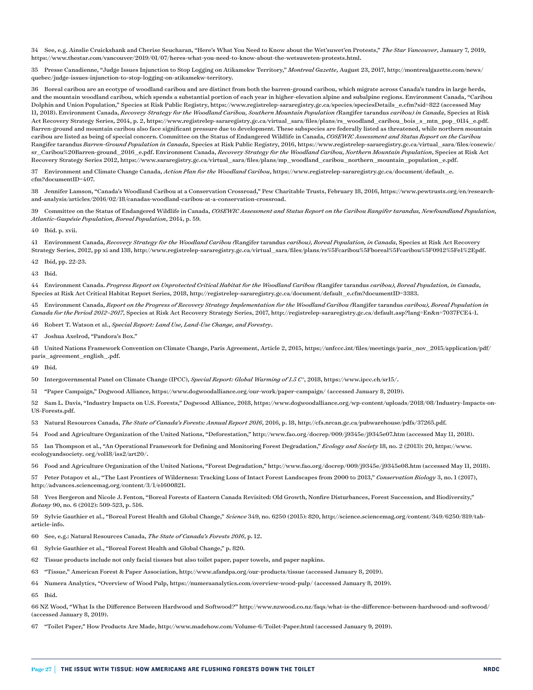34 See, e.g. Ainslie Cruickshank and Cherise Seucharan, "Here's What You Need to Know about the Wet'suwet'en Protests," *The Star Vancouver*, January 7, 2019, <https://www.thestar.com/vancouver/2019/01/07/heres-what-you-need-to-know-about-the-wetsuweten-protests.html>.

35 Presse Canadienne, "Judge Issues Injunction to Stop Logging on Atikamekw Territory," *Montreal Gazette*, August 23, 2017, [http://montrealgazette.com/news/](http://montrealgazette.com/news/quebec/judge-issues-injunction-to-stop-logging-on-atikamekw-territory) [quebec/judge-issues-injunction-to-stop-logging-on-atikamekw-territory](http://montrealgazette.com/news/quebec/judge-issues-injunction-to-stop-logging-on-atikamekw-territory).

36 Boreal caribou are an ecotype of woodland caribou and are distinct from both the barren-ground caribou, which migrate across Canada's tundra in large herds, and the mountain woodland caribou, which spends a substantial portion of each year in higher-elevation alpine and subalpine regions. Environment Canada, "Caribou Dolphin and Union Population," Species at Risk Public Registry, [https://www.registrelep-sararegistry.gc.ca/species/speciesDetails\\_e.cfm?sid=822](https://www.registrelep-sararegistry.gc.ca/species/speciesDetails_e.cfm?sid=822) (accessed May 11, 2018). Environment Canada, *Recovery Strategy for the Woodland Caribou, Southern Mountain Population (*Rangifer tarandus *caribou) in Canada*, Species at Risk Act Recovery Strategy Series, 2014, p. 2, [https://www.registrelep-sararegistry.gc.ca/virtual\\_sara/files/plans/rs\\_woodland\\_caribou\\_bois\\_s\\_mtn\\_pop\\_0114\\_e.pdf.](https://www.registrelep-sararegistry.gc.ca/virtual_sara/files/plans/rs_woodland_caribou_bois_s_mtn_pop_0114_e.pdf) Barren-ground and mountain caribou also face significant pressure due to development. These subspecies are federally listed as threatened, while northern mountain caribou are listed as being of special concern. Committee on the Status of Endangered Wildlife in Canada, *COSEWIC Assessment and Status Report on the Caribou*  Rangifer tarandus *Barren-Ground Population in Canada*, Species at Risk Public Registry, 2016, [https://www.registrelep-sararegistry.gc.ca/virtual\\_sara/files/cosewic/](https://www.registrelep-sararegistry.gc.ca/virtual_sara/files/cosewic/sr_Caribou Barren-ground_2016_e.pdf) [sr\\_Caribou%20Barren-ground\\_2016\\_e.pdf](https://www.registrelep-sararegistry.gc.ca/virtual_sara/files/cosewic/sr_Caribou Barren-ground_2016_e.pdf). Environment Canada, *Recovery Strategy for the Woodland Caribou, Northern Mountain Population*, Species at Risk Act Recovery Strategy Series 2012, [https://www.sararegistry.gc.ca/virtual\\_sara/files/plans/mp\\_woodland\\_caribou\\_northern\\_mountain\\_population\\_e.pdf](https://www.sararegistry.gc.ca/virtual_sara/files/plans/mp_woodland_caribou_northern_mountain_population_e.pdf).

37 Environment and Climate Change Canada, *Action Plan for the Woodland Caribou*, [https://www.registrelep-sararegistry.gc.ca/document/default\\_e.](https://www.registrelep-sararegistry.gc.ca/document/default_e.cfm?documentID=407) [cfm?documentID=407](https://www.registrelep-sararegistry.gc.ca/document/default_e.cfm?documentID=407).

38 Jennifer Lamson, "Canada's Woodland Caribou at a Conservation Crossroad," Pew Charitable Trusts, February 18, 2016, [https://www.pewtrusts.org/en/research](https://www.pewtrusts.org/en/research-and-analysis/articles/2016/02/18/canadas-woodland-caribou-at-a-conservation-crossroad)[and-analysis/articles/2016/02/18/canadas-woodland-caribou-at-a-conservation-crossroad.](https://www.pewtrusts.org/en/research-and-analysis/articles/2016/02/18/canadas-woodland-caribou-at-a-conservation-crossroad)

39 Committee on the Status of Endangered Wildlife in Canada, *COSEWIC Assessment and Status Report on the Caribou Rangifer tarandus, Newfoundland Population, Atlantic-Gaspésie Population, Boreal Population*, 2014, p. 59.

40 Ibid. p. xvii.

41 Environment Canada, *Recovery Strategy for the Woodland Caribou (*Rangifer tarandus *caribou)*, *Boreal Population, in Canada*, Species at Risk Act Recovery Strategy Series, 2012, pp xi and 138, [http://www.registrelep-sararegistry.gc.ca/virtual\\_sara/files/plans/rs%5Fcaribou%5Fboreal%5Fcaribou%5F0912%5Fe1%2Epdf.](http://www.registrelep-sararegistry.gc.ca/virtual_sara/files/plans/rs%5Fcaribou%5Fboreal%5Fcaribou%5F0912%5Fe1%2Epdf)

42 Ibid, pp. 22-23.

43 Ibid.

44 Environment Canada. *Progress Report on Unprotected Critical Habitat for the Woodland Caribou (*Rangifer tarandus *caribou), Boreal Population, in Canada*, Species at Risk Act Critical Habitat Report Series, 2018, [http://registrelep-sararegistry.gc.ca/document/default\\_e.cfm?documentID=3383](http://registrelep-sararegistry.gc.ca/document/default_e.cfm?documentID=3383).

45 Environment Canada, *Report on the Progress of Recovery Strategy Implementation for the Woodland Caribou (*Rangifer tarandus *caribou), Boreal Population in Canada for the Period 2012–2017*, Species at Risk Act Recovery Strategy Series, 2017, [http://registrelep-sararegistry.gc.ca/default.asp?lang=En&n=7037FCE4-1.](http://registrelep-sararegistry.gc.ca/default.asp?lang=En&n=7037FCE4-1)

46 Robert T. Watson et al., *Special Report: Land Use, Land-Use Change, and Forestry*.

47 Joshua Axelrod, "Pandora's Box."

48 United Nations Framework Convention on Climate Change, Paris Agreement, Article 2, 2015, [https://unfccc.int/files/meetings/paris\\_nov\\_2015/application/pdf/](https://unfccc.int/files/meetings/paris_nov_2015/application/pdf/paris_agreement_english_.pdf) [paris\\_agreement\\_english\\_.pdf](https://unfccc.int/files/meetings/paris_nov_2015/application/pdf/paris_agreement_english_.pdf).

49 Ibid.

50 Intergovernmental Panel on Climate Change (IPCC), *Special Report: Global Warming of 1.5 C°*, 2018,<https://www.ipcc.ch/sr15/>.

51 "Paper Campaign," Dogwood Alliance, <https://www.dogwoodalliance.org/our-work/paper-campaign/> (accessed January 8, 2019).

52 Sam L. Davis, "Industry Impacts on U.S. Forests," Dogwood Alliance, 2018, [https://www.dogwoodalliance.org/wp-content/uploads/2018/08/Industry-Impacts-on-](https://www.dogwoodalliance.org/wp-content/uploads/2018/08/Industry-Impacts-on-US-Forests.pdf)[US-Forests.pdf](https://www.dogwoodalliance.org/wp-content/uploads/2018/08/Industry-Impacts-on-US-Forests.pdf).

53 Natural Resources Canada, *The State of Canada's Forests: Annual Report 2016*, 2016, p. 18,<http://cfs.nrcan.gc.ca/pubwarehouse/pdfs/37265.pdf>.

54 Food and Agriculture Organization of the United Nations, "Deforestation,"<http://www.fao.org/docrep/009/j9345e/j9345e07.htm> (accessed May 11, 2018).

55 Ian Thompson et al., "An Operational Framework for Defining and Monitoring Forest Degradation," *Ecology and Society* 18, no. 2 (2013): 20, https://www. ecologyandsociety. org/vol18/iss2/art20/.

56 Food and Agriculture Organization of the United Nations, "Forest Degradation," <http://www.fao.org/docrep/009/j9345e/j9345e08.htm>(accessed May 11, 2018).

57 Peter Potapov et al., "The Last Frontiers of Wilderness: Tracking Loss of Intact Forest Landscapes from 2000 to 2013," *Conservation Biology* 3, no. 1 (2017), <http://advances.sciencemag.org/content/3/1/e1600821>.

58 Yves Bergeron and Nicole J. Fenton, "Boreal Forests of Eastern Canada Revisited: Old Growth, Nonfire Disturbances, Forest Succession, and Biodiversity," *Botany* 90, no. 6 (2012): 509-523, p. 516.

59 Sylvie Gauthier et al., "Boreal Forest Health and Global Change," *Science* 349, no. 6250 (2015): 820, [http://science.sciencemag.org/content/349/6250/819/tab](http://science.sciencemag.org/content/349/6250/819/tab-article-info)[article-info](http://science.sciencemag.org/content/349/6250/819/tab-article-info).

60 See, e.g.: Natural Resources Canada, *The State of Canada's Forests 2016*, p. 12.

61 Sylvie Gauthier et al., "Boreal Forest Health and Global Change," p. 820.

- 62 Tissue products include not only facial tissues but also toilet paper, paper towels, and paper napkins.
- 63 "Tissue," American Forest & Paper Association, <http://www.afandpa.org/our-products/tissue>(accessed January 8, 2019).
- 64 Numera Analytics, "Overview of Wood Pulp, https://numeraanalytics.com/overview-wood-pulp/ (accessed January 8, 2019).

65 Ibid.

66 NZ Wood, "What Is the Difference Between Hardwood and Softwood?"<http://www.nzwood.co.nz/faqs/what-is-the-difference-between-hardwood-and-softwood/> (accessed January 8, 2019).

67 "Toilet Paper," How Products Are Made, <http://www.madehow.com/Volume-6/Toilet-Paper.html>(accessed January 9, 2019).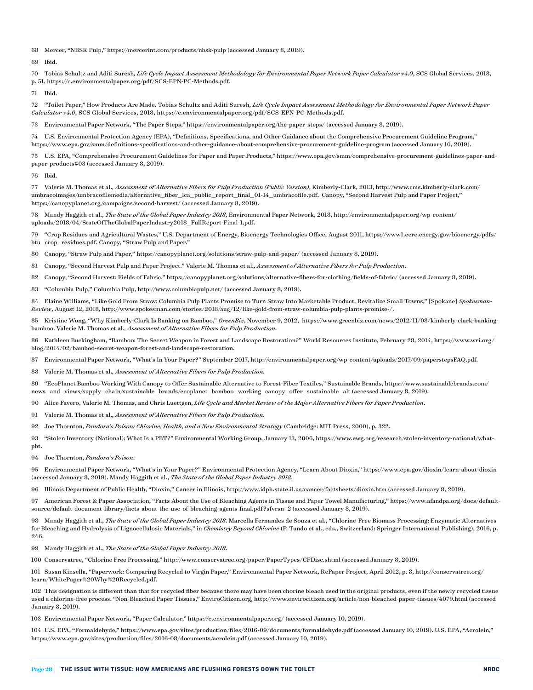Mercer, "NBSK Pulp,"<https://mercerint.com/products/nbsk-pulp>(accessed January 8, 2019).

Ibid.

 Tobias Schultz and Aditi Suresh*, Life Cycle Impact Assessment Methodology for Environmental Paper Network Paper Calculator v4.0*, SCS Global Services, 2018, p. 51,<https://c.environmentalpaper.org/pdf/SCS-EPN-PC-Methods.pdf>.

Ibid.

 "Toilet Paper," How Products Are Made. Tobias Schultz and Aditi Suresh*, Life Cycle Impact Assessment Methodology for Environmental Paper Network Paper Calculator v4.0*, SCS Global Services, 2018, [https://c.environmentalpaper.org/pdf/SCS-EPN-PC-Methods.pdf.](https://c.environmentalpaper.org/pdf/SCS-EPN-PC-Methods.pdf)

Environmental Paper Network, "The Paper Steps," <https://environmentalpaper.org/the-paper-steps/> (accessed January 8, 2019).

 U.S. Environmental Protection Agency (EPA), "Definitions, Specifications, and Other Guidance about the Comprehensive Procurement Guideline Program," <https://www.epa.gov/smm/definitions-specifications-and-other-guidance-about-comprehensive-procurement-guideline-program> (accessed January 10, 2019).

 U.S. EPA, "Comprehensive Procurement Guidelines for Paper and Paper Products," [https://www.epa.gov/smm/comprehensive-procurement-guidelines-paper-and](https://www.epa.gov/smm/comprehensive-procurement-guidelines-paper-and-paper-products#03)[paper-products#03](https://www.epa.gov/smm/comprehensive-procurement-guidelines-paper-and-paper-products#03) (accessed January 8, 2019).

Ibid.

 Valerie M. Thomas et al.*, Assessment of Alternative Fibers for Pulp Production (Public Version)*, Kimberly-Clark, 2013, [http://www.cms.kimberly-clark.com/](http://www.cms.kimberly-clark.com/umbracoimages/umbracofilemedia/alternative_fiber_lca_public_report_final_01-14_umbracofile.pdf) [umbracoimages/umbracofilemedia/alternative\\_fiber\\_lca\\_public\\_report\\_final\\_01-14\\_umbracofile.pdf.](http://www.cms.kimberly-clark.com/umbracoimages/umbracofilemedia/alternative_fiber_lca_public_report_final_01-14_umbracofile.pdf) Canopy, "Second Harvest Pulp and Paper Project," <https://canopyplanet.org/campaigns/second-harvest/>(accessed January 8, 2019).

 Mandy Haggith et al., *The State of the Global Paper Industry 2018*, Environmental Paper Network, 2018, [http://environmentalpaper.org/wp-content/](http://environmentalpaper.org/wp-content/uploads/2018/04/StateOfTheGlobalPaperIndustry2018_FullReport-Final-1.pdf) [uploads/2018/04/StateOfTheGlobalPaperIndustry2018\\_FullReport-Final-1.pdf](http://environmentalpaper.org/wp-content/uploads/2018/04/StateOfTheGlobalPaperIndustry2018_FullReport-Final-1.pdf).

 "Crop Residues and Agricultural Wastes," U.S. Department of Energy, Bioenergy Technologies Office, August 2011, [https://www1.eere.energy.gov/bioenergy/pdfs/](https://www1.eere.energy.gov/bioenergy/pdfs/btu_crop_residues.pdf) [btu\\_crop\\_residues.pdf](https://www1.eere.energy.gov/bioenergy/pdfs/btu_crop_residues.pdf). Canopy, "Straw Pulp and Paper."

Canopy, "Straw Pulp and Paper," <https://canopyplanet.org/solutions/straw-pulp-and-paper/>(accessed January 8, 2019).

Canopy, "Second Harvest Pulp and Paper Project." Valerie M. Thomas et al.*, Assessment of Alternative Fibers for Pulp Production*.

Canopy, "Second Harvest: Fields of Fabric," <https://canopyplanet.org/solutions/alternative-fibers-for-clothing/fields-of-fabric/> (accessed January 8, 2019).

"Columbia Pulp," Columbia Pulp,<http://www.columbiapulp.net/> (accessed January 8, 2019).

 Elaine Williams, "Like Gold From Straw: Columbia Pulp Plants Promise to Turn Straw Into Marketable Product, Revitalize Small Towns," [Spokane] *Spokesman-Review*, August 12, 2018, [http://www.spokesman.com/stories/2018/aug/12/like-gold-from-straw-columbia-pulp-plants-promise-/.](http://www.spokesman.com/stories/2018/aug/12/like-gold-from-straw-columbia-pulp-plants-promise-/)

 Kristine Wong, "Why Kimberly-Clark Is Banking on Bamboo," *GreenBiz*, November 9, 2012, [https://www.greenbiz.com/news/2012/11/08/kimberly-clark-banking](https://www.greenbiz.com/news/2012/11/08/kimberly-clark-banking-bamboo)[bamboo](https://www.greenbiz.com/news/2012/11/08/kimberly-clark-banking-bamboo). Valerie M. Thomas et al.*, Assessment of Alternative Fibers for Pulp Production*.

 Kathleen Buckingham, "Bamboo: The Secret Weapon in Forest and Landscape Restoration?" World Resources Institute, February 28, 2014, [https://www.wri.org/](https://www.wri.org/blog/2014/02/bamboo-secret-weapon-forest-and-landscape-restoration) [blog/2014/02/bamboo-secret-weapon-forest-and-landscape-restoration.](https://www.wri.org/blog/2014/02/bamboo-secret-weapon-forest-and-landscape-restoration)

Environmental Paper Network, "What's In Your Paper?" September 2017, <http://environmentalpaper.org/wp-content/uploads/2017/09/paperstepsFAQ.pdf>.

Valerie M. Thomas et al.*, Assessment of Alternative Fibers for Pulp Production*.

 "EcoPlanet Bamboo Working With Canopy to Offer Sustainable Alternative to Forest-Fiber Textiles," Sustainable Brands, [https://www.sustainablebrands.com/](https://www.sustainablebrands.com/news_and_views/supply_chain/sustainable_brands/ecoplanet_bamboo_working_canopy_offer_sustainable_alt) [news\\_and\\_views/supply\\_chain/sustainable\\_brands/ecoplanet\\_bamboo\\_working\\_canopy\\_offer\\_sustainable\\_alt](https://www.sustainablebrands.com/news_and_views/supply_chain/sustainable_brands/ecoplanet_bamboo_working_canopy_offer_sustainable_alt) (accessed January 8, 2019).

Alice Favero, Valerie M. Thomas, and Chris Luettgen, *Life Cycle and Market Review of the Major Alternative Fibers for Paper Production*.

Valerie M. Thomas et al.*, Assessment of Alternative Fibers for Pulp Production*.

Joe Thornton, *Pandora's Poison: Chlorine, Health, and a New Environmental Strategy* (Cambridge: MIT Press, 2000), p. 322.

 "Stolen Inventory (National): What Is a PBT?" Environmental Working Group, January 13, 2006, [https://www.ewg.org/research/stolen-inventory-national/what](https://www.ewg.org/research/stolen-inventory-national/what-pbt)[pbt.](https://www.ewg.org/research/stolen-inventory-national/what-pbt)

Joe Thornton, *Pandora's Poison*.

 Environmental Paper Network, "What's in Your Paper?" Environmental Protection Agency, "Learn About Dioxin," <https://www.epa.gov/dioxin/learn-about-dioxin> (accessed January 8, 2019). Mandy Haggith et al., *The State of the Global Paper Industry 2018*.

Illinois Department of Public Health, "Dioxin," Cancer in Illinois,<http://www.idph.state.il.us/cancer/factsheets/dioxin.htm> (accessed January 8, 2019).

 American Forest & Paper Association, "Facts About the Use of Bleaching Agents in Tissue and Paper Towel Manufacturing," [https://www.afandpa.org/docs/default](https://www.afandpa.org/docs/default-source/default-document-library/facts-about-the-use-of-bleaching-agents-final.pdf?sfvrsn=2) $source/default-document-library/facts-about-the-use-of-bleaching-agents-final.pdf?sfvrsn=2 (accessed January 8, 2019). \label{eq:2}$  $source/default-document-library/facts-about-the-use-of-bleaching-agents-final.pdf?sfvrsn=2 (accessed January 8, 2019). \label{eq:2}$ 

98 Mandy Haggith et al., The State of the Global Paper Industry 2018. Marcella Fernandes de Souza et al., "Chlorine-Free Biomass Processing: Enzymatic Alternatives for Bleaching and Hydrolysis of Lignocellulosic Materials," in *Chemistry Beyond Chlorine* (P. Tundo et al., eds., Switzerland: Springer International Publishing), 2016, p. 246.

Mandy Haggith et al., *The State of the Global Paper Industry 2018*.

Conservatree, "Chlorine Free Processing,"<http://www.conservatree.org/paper/PaperTypes/CFDisc.shtml> (accessed January 8, 2019).

 Susan Kinsella, "Paperwork: Comparing Recycled to Virgin Paper," Environmental Paper Network, RePaper Project, April 2012, p. 8, [http://conservatree.org/](http://conservatree.org/learn/WhitePaper Why Recycled.pdf) [learn/WhitePaper%20Why%20Recycled.pdf.](http://conservatree.org/learn/WhitePaper Why Recycled.pdf)

 This designation is different than that for recycled fiber because there may have been chorine bleach used in the original products, even if the newly recycled tissue used a chlorine-free process. "Non-Bleached Paper Tissues," EnviroCitizen.org,<http://www.envirocitizen.org/article/non-bleached-paper-tissues/4079.html> (accessed January 8, 2019).

Environmental Paper Network, "Paper Calculator," <https://c.environmentalpaper.org/> (accessed January 10, 2019).

 U.S. EPA, "Formaldehyde," <https://www.epa.gov/sites/production/files/2016-09/documents/formaldehyde.pdf>(accessed January 10, 2019). U.S. EPA, "Acrolein," <https://www.epa.gov/sites/production/files/2016-08/documents/acrolein.pdf> (accessed January 10, 2019).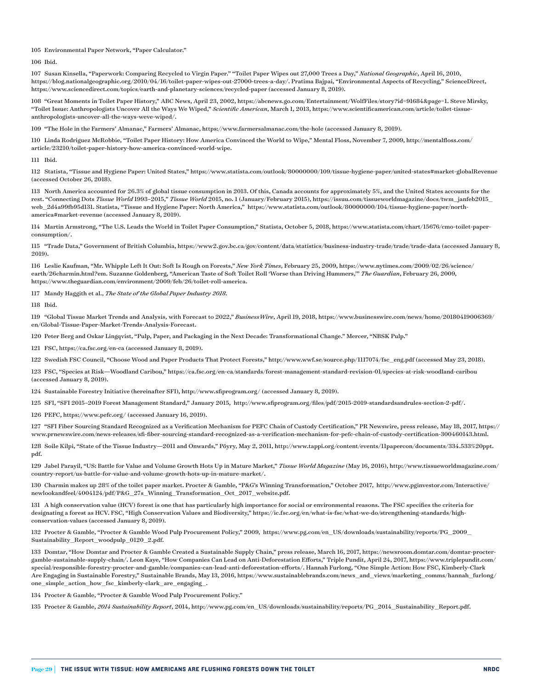#### 105 Environmental Paper Network, "Paper Calculator."

106 Ibid.

107 Susan Kinsella, "Paperwork: Comparing Recycled to Virgin Paper." "Toilet Paper Wipes out 27,000 Trees a Day," *National Geographic*, April 16, 2010, <https://blog.nationalgeographic.org/2010/04/16/toilet-paper-wipes-out-27000-trees-a-day/>. Pratima Bajpai, "Environmental Aspects of Recycling," ScienceDirect, <https://www.sciencedirect.com/topics/earth-and-planetary-sciences/recycled-paper>(accessed January 8, 2019).

108 "Great Moments in Toilet Paper History," ABC News, April 23, 2002, [https://abcnews.go.com/Entertainment/WolfFiles/story?id=91684&page=1.](https://abcnews.go.com/Entertainment/WolfFiles/story?id=91684&page=1) Steve Mirsky, "Toilet Issue: Anthropologists Uncover All the Ways We Wiped," *Scientific American*, March 1, 2013, [https://www.scientificamerican.com/article/toilet-tissue](https://www.scientificamerican.com/article/toilet-tissue-anthropologists-uncover-all-the-ways-weve-wiped/)[anthropologists-uncover-all-the-ways-weve-wiped/.](https://www.scientificamerican.com/article/toilet-tissue-anthropologists-uncover-all-the-ways-weve-wiped/)

109 "The Hole in the Farmers' Almanac," Farmers' Almanac,<https://www.farmersalmanac.com/the-hole>(accessed January 8, 2019).

110 Linda Rodriguez McRobbie, "Toilet Paper History: How America Convinced the World to Wipe," Mental Floss, November 7, 2009, [http://mentalfloss.com/](http://mentalfloss.com/article/23210/toilet-paper-history-how-america-convinced-world-wipe) [article/23210/toilet-paper-history-how-america-convinced-world-wipe.](http://mentalfloss.com/article/23210/toilet-paper-history-how-america-convinced-world-wipe)

111 Ibid.

112 Statista, "Tissue and Hygiene Paper: United States," <https://www.statista.com/outlook/80000000/109/tissue-hygiene-paper/united-states#market-globalRevenue> (accessed October 26, 2018).

113 North America accounted for 26.3% of global tissue consumption in 2013. Of this, Canada accounts for approximately 5%, and the United States accounts for the rest. "Connecting Dots *Tissue World* 1993–2015," *Tissue World* 2015, no. 1 (January/February 2015), [https://issuu.com/tissueworldmagazine/docs/twm\\_janfeb2015\\_](https://issuu.com/tissueworldmagazine/docs/twm_janfeb2015_web_2d4a99fb95d131) [web\\_2d4a99fb95d131.](https://issuu.com/tissueworldmagazine/docs/twm_janfeb2015_web_2d4a99fb95d131) Statista, "Tissue and Hygiene Paper: North America," [https://www.statista.com/outlook/80000000/104/tissue-hygiene-paper/north](https://www.statista.com/outlook/80000000/104/tissue-hygiene-paper/north-america#market-revenue)[america#market-revenue](https://www.statista.com/outlook/80000000/104/tissue-hygiene-paper/north-america#market-revenue) (accessed January 8, 2019).

114 Martin Armstrong, "The U.S. Leads the World in Toilet Paper Consumption," Statista, October 5, 2018, [https://www.statista.com/chart/15676/cmo-toilet-paper](https://www.statista.com/chart/15676/cmo-toilet-paper-consumption/)[consumption/.](https://www.statista.com/chart/15676/cmo-toilet-paper-consumption/)

115 "Trade Data," Government of British Columbia,<https://www2.gov.bc.ca/gov/content/data/statistics/business-industry-trade/trade/trade-data> (accessed January 8, 2019).

116 Leslie Kaufman, "Mr. Whipple Left It Out: Soft Is Rough on Forests," *New York Times*, February 25, 2009, [https://www.nytimes.com/2009/02/26/science/](https://www.nytimes.com/2009/02/26/science/earth/26charmin.html?em) [earth/26charmin.html?em.](https://www.nytimes.com/2009/02/26/science/earth/26charmin.html?em) Suzanne Goldenberg, "American Taste of Soft Toilet Roll 'Worse than Driving Hummers,'" *The Guardian*, February 26, 2009, <https://www.theguardian.com/environment/2009/feb/26/toilet-roll-america>.

117 Mandy Haggith et al., *The State of the Global Paper Industry 2018*.

118 Ibid.

119 "Global Tissue Market Trends and Analysis, with Forecast to 2022," *BusinessWire*, April 19, 2018, [https://www.businesswire.com/news/home/20180419006369/](https://www.businesswire.com/news/home/20180419006369/en/Global-Tissue-Paper-Market-Trends-Analysis-Forecast) [en/Global-Tissue-Paper-Market-Trends-Analysis-Forecast.](https://www.businesswire.com/news/home/20180419006369/en/Global-Tissue-Paper-Market-Trends-Analysis-Forecast)

120 Peter Berg and Oskar Lingqvist, "Pulp, Paper, and Packaging in the Next Decade: Transformational Change." Mercer, "NBSK Pulp."

121 FSC, <https://ca.fsc.org/en-ca>(accessed January 8, 2019).

122 Swedish FSC Council, "Choose Wood and Paper Products That Protect Forests," [http://www.wwf.se/source.php/1117074/fsc\\_eng.pdf](http://www.wwf.se/source.php/1117074/fsc_eng.pdf) (accessed May 23, 2018).

123 FSC, "Species at Risk—Woodland Caribou," <https://ca.fsc.org/en-ca/standards/forest-management-standard-revision-01/species-at-risk-woodland-caribou> (accessed January 8, 2019).

124 Sustainable Forestry Initiative (hereinafter SFI), <http://www.sfiprogram.org/> (accessed January 8, 2019).

125 SFI, "SFI 2015–2019 Forest Management Standard," January 2015, [http://www.sfiprogram.org/files/pdf/2015-2019-standardsandrules-section-2-pdf/.](http://www.sfiprogram.org/files/pdf/2015-2019-standardsandrules-section-2-pdf/)

126 PEFC, <https://www.pefc.org/>(accessed January 16, 2019).

127 "SFI Fiber Sourcing Standard Recognized as a Verification Mechanism for PEFC Chain of Custody Certification," PR Newswire, press release, May 18, 2017, [https://](https://www.prnewswire.com/news-releases/sfi-fiber-sourcing-standard-recognized-as-a-verification-mechanism-for-pefc-chain-of-custody-certification-300460143.html) [www.prnewswire.com/news-releases/sfi-fiber-sourcing-standard-recognized-as-a-verification-mechanism-for-pefc-chain-of-custody-certification-300460143.html.](https://www.prnewswire.com/news-releases/sfi-fiber-sourcing-standard-recognized-as-a-verification-mechanism-for-pefc-chain-of-custody-certification-300460143.html)

128 Soile Kilpi, "State of the Tissue Industry—2011 and Onwards," Pöyry, May 2, 2011, [http://www.tappi.org/content/events/11papercon/documents/334.533%20ppt.](http://www.tappi.org/content/events/11papercon/documents/334.533 ppt.pdf) [pdf](http://www.tappi.org/content/events/11papercon/documents/334.533 ppt.pdf).

129 Jabel Parayil, "US: Battle for Value and Volume Growth Hots Up in Mature Market," *Tissue World Magazine* (May 16, 2016), [http://www.tissueworldmagazine.com/](http://www.tissueworldmagazine.com/country-report/us-battle-for-value-and-volume-growth-hots-up-in-mature-market/) [country-report/us-battle-for-value-and-volume-growth-hots-up-in-mature-market/](http://www.tissueworldmagazine.com/country-report/us-battle-for-value-and-volume-growth-hots-up-in-mature-market/).

130 Charmin makes up 28% of the toilet paper market. Procter & Gamble, "P&G's Winning Transformation," October 2017, [http://www.pginvestor.com/Interactive/](http://www.pginvestor.com/Interactive/newlookandfeel/4004124/pdf/P&G_27s_Winning_Transformation_Oct_2017_website.pdf) [newlookandfeel/4004124/pdf/P&G\\_27s\\_Winning\\_Transformation\\_Oct\\_2017\\_website.pdf](http://www.pginvestor.com/Interactive/newlookandfeel/4004124/pdf/P&G_27s_Winning_Transformation_Oct_2017_website.pdf).

131 A high conservation value (HCV) forest is one that has particularly high importance for social or environmental reasons. The FSC specifies the criteria for designating a forest as HCV. FSC, "High Conservation Values and Biodiversity," [https://ic.fsc.org/en/what-is-fsc/what-we-do/strengthening-standards/high](https://ic.fsc.org/en/what-is-fsc/what-we-do/strengthening-standards/high-conservation-values)[conservation-values](https://ic.fsc.org/en/what-is-fsc/what-we-do/strengthening-standards/high-conservation-values) (accessed January 8, 2019).

132 Procter & Gamble, "Procter & Gamble Wood Pulp Procurement Policy," 2009, [https://www.pg.com/en\\_US/downloads/sustainability/reports/PG\\_2009\\_](https://www.pg.com/en_US/downloads/sustainability/reports/PG_2009_Sustainability_Report_woodpulp_0120_2.pdf) [Sustainability\\_Report\\_woodpulp\\_0120\\_2.pdf](https://www.pg.com/en_US/downloads/sustainability/reports/PG_2009_Sustainability_Report_woodpulp_0120_2.pdf).

133 Domtar, "How Domtar and Procter & Gamble Created a Sustainable Supply Chain," press release, March 16, 2017, [https://newsroom.domtar.com/domtar-procter](https://newsroom.domtar.com/domtar-procter-gamble-sustainable-supply-chain/)[gamble-sustainable-supply-chain/](https://newsroom.domtar.com/domtar-procter-gamble-sustainable-supply-chain/). Leon Kaye, "How Companies Can Lead on Anti-Deforestation Efforts," Triple Pundit, April 24, 2017, [https://www.triplepundit.com/](https://www.triplepundit.com/special/responsible-forestry-procter-and-gamble/companies-can-lead-anti-deforestation-efforts/) [special/responsible-forestry-procter-and-gamble/companies-can-lead-anti-deforestation-efforts/](https://www.triplepundit.com/special/responsible-forestry-procter-and-gamble/companies-can-lead-anti-deforestation-efforts/). Hannah Furlong, "One Simple Action: How FSC, Kimberly-Clark Are Engaging in Sustainable Forestry," Sustainable Brands, May 13, 2016, [https://www.sustainablebrands.com/news\\_and\\_views/marketing\\_comms/hannah\\_furlong/](https://www.sustainablebrands.com/news_and_views/marketing_comms/hannah_furlong/one_simple_action_how_fsc_kimberly-clark_are_engaging_) [one\\_simple\\_action\\_how\\_fsc\\_kimberly-clark\\_are\\_engaging\\_.](https://www.sustainablebrands.com/news_and_views/marketing_comms/hannah_furlong/one_simple_action_how_fsc_kimberly-clark_are_engaging_)

134 Procter & Gamble, "Procter & Gamble Wood Pulp Procurement Policy."

135 Procter & Gamble, *2014 Sustainability Report*, 2014, [http://www.pg.com/en\\_US/downloads/sustainability/reports/PG\\_2014\\_Sustainability\\_Report.pdf](http://www.pg.com/en_US/downloads/sustainability/reports/PG_2014_Sustainability_Report.pdf).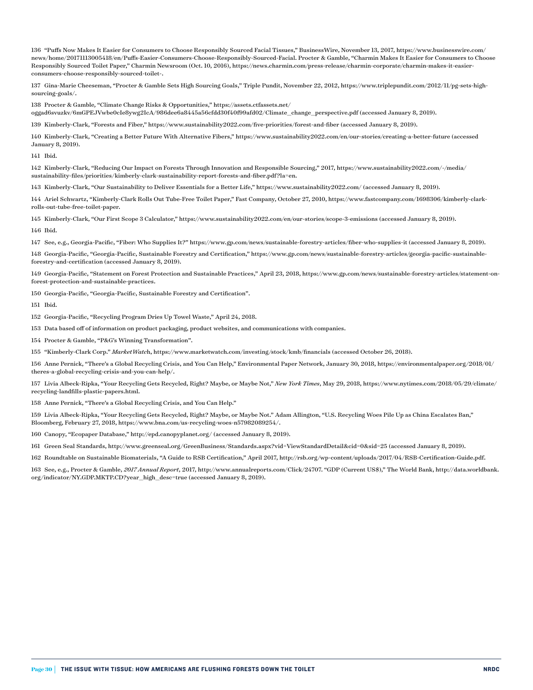"Puffs Now Makes It Easier for Consumers to Choose Responsibly Sourced Facial Tissues," BusinessWire, November 13, 2017, [https://www.businesswire.com/](https://www.businesswire.com/news/home/20171113005418/en/Puffs-Easier-Consumers-Choose-Responsibly-Sourced-Facial) [news/home/20171113005418/en/Puffs-Easier-Consumers-Choose-Responsibly-Sourced-Facial](https://www.businesswire.com/news/home/20171113005418/en/Puffs-Easier-Consumers-Choose-Responsibly-Sourced-Facial). Procter & Gamble, "Charmin Makes It Easier for Consumers to Choose Responsibly Sourced Toilet Paper," Charmin Newsroom (Oct. 10, 2016), [https://news.charmin.com/press-release/charmin-corporate/charmin-makes-it-easier](https://news.charmin.com/press-release/charmin-corporate/charmin-makes-it-easier-consumers-choose-responsibly-sourced-toilet-)[consumers-choose-responsibly-sourced-toilet-.](https://news.charmin.com/press-release/charmin-corporate/charmin-makes-it-easier-consumers-choose-responsibly-sourced-toilet-)

 Gina-Marie Cheeseman, "Procter & Gamble Sets High Sourcing Goals," Triple Pundit, November 22, 2012, [https://www.triplepundit.com/2012/11/pg-sets-high](https://www.triplepundit.com/2012/11/pg-sets-high-sourcing-goals/)[sourcing-goals/](https://www.triplepundit.com/2012/11/pg-sets-high-sourcing-goals/).

Procter & Gamble*,* "Climate Change Risks & Opportunities," [https://assets.ctfassets.net/](https://assets.ctfassets.net/oggad6svuzkv/6mGPEJVwbe0cIe8ywg2IcA/986dee6a8445a56cfdd30f40f99afd02/Climate_change_perspective.pdf)

[oggad6svuzkv/6mGPEJVwbe0cIe8ywg2IcA/986dee6a8445a56cfdd30f40f99afd02/Climate\\_change\\_perspective.pdf](https://assets.ctfassets.net/oggad6svuzkv/6mGPEJVwbe0cIe8ywg2IcA/986dee6a8445a56cfdd30f40f99afd02/Climate_change_perspective.pdf) (accessed January 8, 2019).

Kimberly-Clark, "Forests and Fiber,"<https://www.sustainability2022.com/five-priorities/forest-and-fiber>(accessed January 8, 2019).

 Kimberly-Clark, "Creating a Better Future With Alternative Fibers," <https://www.sustainability2022.com/en/our-stories/creating-a-better-future> (accessed January 8, 2019).

Ibid.

 Kimberly-Clark, "Reducing Our Impact on Forests Through Innovation and Responsible Sourcing," 2017, [https://www.sustainability2022.com/-/media/](https://www.sustainability2022.com/-/media/sustainability-files/priorities/kimberly-clark-sustainability-report-forests-and-fiber.pdf?la=en) [sustainability-files/priorities/kimberly-clark-sustainability-report-forests-and-fiber.pdf?la=en](https://www.sustainability2022.com/-/media/sustainability-files/priorities/kimberly-clark-sustainability-report-forests-and-fiber.pdf?la=en).

Kimberly-Clark, "Our Sustainability to Deliver Essentials for a Better Life," <https://www.sustainability2022.com/>(accessed January 8, 2019).

 Ariel Schwartz, "Kimberly-Clark Rolls Out Tube-Free Toilet Paper," Fast Company, October 27, 2010, [https://www.fastcompany.com/1698306/kimberly-clark](https://www.fastcompany.com/1698306/kimberly-clark-rolls-out-tube-free-toilet-paper)[rolls-out-tube-free-toilet-paper](https://www.fastcompany.com/1698306/kimberly-clark-rolls-out-tube-free-toilet-paper).

Kimberly-Clark, "Our First Scope 3 Calculator," <https://www.sustainability2022.com/en/our-stories/scope-3-emissions> (accessed January 8, 2019).

Ibid.

See, e.g., Georgia-Pacific, "Fiber: Who Supplies It?"<https://www.gp.com/news/sustainable-forestry-articles/fiber-who-supplies-it> (accessed January 8, 2019).

 Georgia-Pacific, "Georgia-Pacific, Sustainable Forestry and Certification," [https://www.gp.com/news/sustainable-forestry-articles/georgia-pacific-sustainable](https://www.gp.com/news/sustainable-forestry-articles/georgia-pacific-sustainable-forestry-and-certification)[forestry-and-certification](https://www.gp.com/news/sustainable-forestry-articles/georgia-pacific-sustainable-forestry-and-certification) (accessed January 8, 2019).

 Georgia-Pacific, "Statement on Forest Protection and Sustainable Practices," April 23, 2018, [https://www.gp.com/news/sustainable-forestry-articles/statement-on](https://www.gp.com/news/sustainable-forestry-articles/statement-on-forest-protection-and-sustainable-practices)[forest-protection-and-sustainable-practices.](https://www.gp.com/news/sustainable-forestry-articles/statement-on-forest-protection-and-sustainable-practices)

Georgia-Pacific, "Georgia-Pacific, Sustainable Forestry and Certification".

#### Ibid.

Georgia-Pacific, "Recycling Program Dries Up Towel Waste," April 24, 2018.

Data based off of information on product packaging, product websites, and communications with companies.

Procter & Gamble, "P&G's Winning Transformation".

"Kimberly-Clark Corp." *MarketWatc*h,<https://www.marketwatch.com/investing/stock/kmb/financials>(accessed October 26, 2018).

 Anne Pernick, "There's a Global Recycling Crisis, and You Can Help," Environmental Paper Network, January 30, 2018, [https://environmentalpaper.org/2018/01/](https://environmentalpaper.org/2018/01/theres-a-global-recycling-crisis-and-you-can-help/) [theres-a-global-recycling-crisis-and-you-can-help/.](https://environmentalpaper.org/2018/01/theres-a-global-recycling-crisis-and-you-can-help/)

 Livia Albeck-Ripka, "Your Recycling Gets Recycled, Right? Maybe, or Maybe Not," *New York Times*, May 29, 2018, [https://www.nytimes.com/2018/05/29/climate/](https://www.nytimes.com/2018/05/29/climate/recycling-landfills-plastic-papers.html) [recycling-landfills-plastic-papers.html.](https://www.nytimes.com/2018/05/29/climate/recycling-landfills-plastic-papers.html)

Anne Pernick, "There's a Global Recycling Crisis, and You Can Help."

 Livia Albeck-Ripka, "Your Recycling Gets Recycled, Right? Maybe, or Maybe Not." Adam Allington, "U.S. Recycling Woes Pile Up as China Escalates Ban," Bloomberg, February 27, 2018, [https://www.bna.com/us-recycling-woes-n57982089254/.](https://www.bna.com/us-recycling-woes-n57982089254/)

Canopy, "Ecopaper Database,"<http://epd.canopyplanet.org/>(accessed January 8, 2019).

Green Seal Standards,<http://www.greenseal.org/GreenBusiness/Standards.aspx?vid=ViewStandardDetail&cid=0&sid=25> (accessed January 8, 2019).

Roundtable on Sustainable Biomaterials, "A Guide to RSB Certification," April 2017,<http://rsb.org/wp-content/uploads/2017/04/RSB-Certification-Guide.pdf>.

 See, e.g., Procter & Gamble, *2017 Annual Report*, 2017,<http://www.annualreports.com/Click/24707>. "GDP (Current US\$)," The World Bank, [http://data.worldbank.](http://data.worldbank.org/indicator/NY.GDP.MKTP.CD?year_high_desc=true) [org/indicator/NY.GDP.MKTP.CD?year\\_high\\_desc=true](http://data.worldbank.org/indicator/NY.GDP.MKTP.CD?year_high_desc=true) (accessed January 8, 2019).